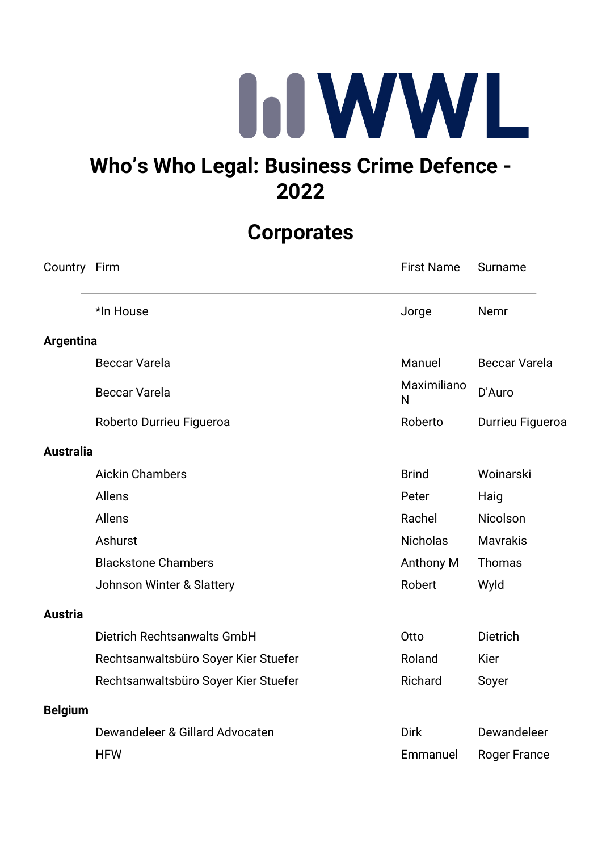

## **Who's Who Legal: Business Crime Defence - 2022**

## **Corporates**

| Country Firm     |                                      | <b>First Name</b> | Surname              |
|------------------|--------------------------------------|-------------------|----------------------|
|                  | *In House                            | Jorge             | Nemr                 |
| <b>Argentina</b> |                                      |                   |                      |
|                  | <b>Beccar Varela</b>                 | Manuel            | <b>Beccar Varela</b> |
|                  | <b>Beccar Varela</b>                 | Maximiliano<br>N  | D'Auro               |
|                  | Roberto Durrieu Figueroa             | Roberto           | Durrieu Figueroa     |
| <b>Australia</b> |                                      |                   |                      |
|                  | <b>Aickin Chambers</b>               | <b>Brind</b>      | Woinarski            |
|                  | <b>Allens</b>                        | Peter             | Haig                 |
|                  | Allens                               | Rachel            | Nicolson             |
|                  | Ashurst                              | <b>Nicholas</b>   | <b>Mavrakis</b>      |
|                  | <b>Blackstone Chambers</b>           | Anthony M         | Thomas               |
|                  | Johnson Winter & Slattery            | Robert            | Wyld                 |
| <b>Austria</b>   |                                      |                   |                      |
|                  | Dietrich Rechtsanwalts GmbH          | Otto              | <b>Dietrich</b>      |
|                  | Rechtsanwaltsbüro Soyer Kier Stuefer | Roland            | <b>Kier</b>          |
|                  | Rechtsanwaltsbüro Soyer Kier Stuefer | Richard           | Soyer                |
| <b>Belgium</b>   |                                      |                   |                      |
|                  | Dewandeleer & Gillard Advocaten      | <b>Dirk</b>       | Dewandeleer          |
|                  | <b>HFW</b>                           | Emmanuel          | <b>Roger France</b>  |
|                  |                                      |                   |                      |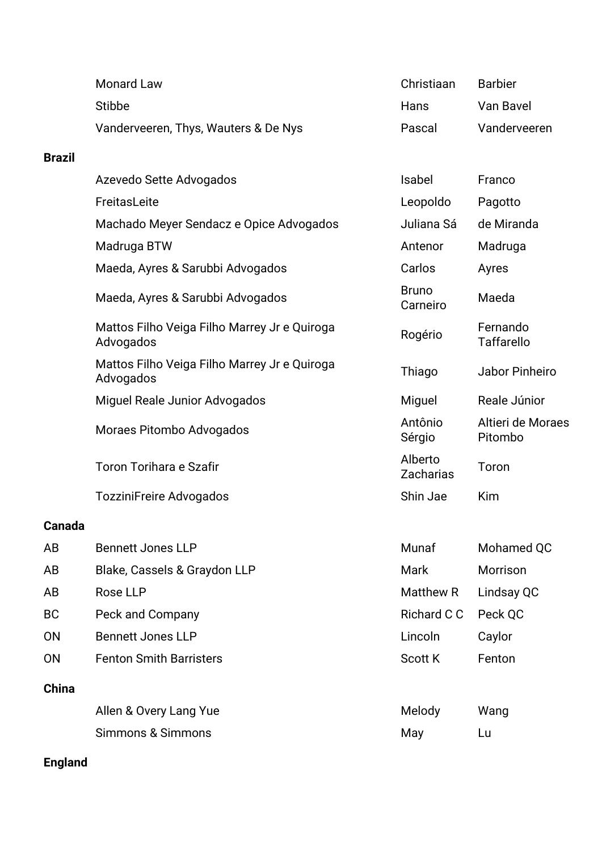| <b>Monard Law</b>                    | Christiaan | <b>Barbier</b> |
|--------------------------------------|------------|----------------|
| Stibbe                               | Hans       | Van Bavel      |
| Vanderveeren, Thys, Wauters & De Nys | Pascal     | Vanderveeren   |

## **Brazil**

|              | Azevedo Sette Advogados                                   | Isabel                      | Franco                        |
|--------------|-----------------------------------------------------------|-----------------------------|-------------------------------|
|              | FreitasLeite                                              | Leopoldo                    | Pagotto                       |
|              | Machado Meyer Sendacz e Opice Advogados                   | Juliana Sá                  | de Miranda                    |
|              | Madruga BTW                                               | Antenor                     | Madruga                       |
|              | Maeda, Ayres & Sarubbi Advogados                          | Carlos                      | Ayres                         |
|              | Maeda, Ayres & Sarubbi Advogados                          | <b>Bruno</b><br>Carneiro    | Maeda                         |
|              | Mattos Filho Veiga Filho Marrey Jr e Quiroga<br>Advogados | Rogério                     | Fernando<br><b>Taffarello</b> |
|              | Mattos Filho Veiga Filho Marrey Jr e Quiroga<br>Advogados | Thiago                      | Jabor Pinheiro                |
|              | Miguel Reale Junior Advogados                             | Miguel                      | Reale Júnior                  |
|              | Moraes Pitombo Advogados                                  | Antônio<br>Sérgio           | Altieri de Moraes<br>Pitombo  |
|              | <b>Toron Torihara e Szafir</b>                            | Alberto<br><b>Zacharias</b> | Toron                         |
|              | <b>TozziniFreire Advogados</b>                            | Shin Jae                    | Kim                           |
| Canada       |                                                           |                             |                               |
| AB           | <b>Bennett Jones LLP</b>                                  | Munaf                       | Mohamed QC                    |
| AB           | Blake, Cassels & Graydon LLP                              | <b>Mark</b>                 | Morrison                      |
| AB           | <b>Rose LLP</b>                                           | Matthew R                   | Lindsay QC                    |
| <b>BC</b>    | Peck and Company                                          | Richard C C                 | Peck QC                       |
| <b>ON</b>    | <b>Bennett Jones LLP</b>                                  | Lincoln                     | Caylor                        |
| <b>ON</b>    | <b>Fenton Smith Barristers</b>                            | <b>Scott K</b>              | Fenton                        |
| <b>China</b> |                                                           |                             |                               |
|              | Allen & Overy Lang Yue                                    | Melody                      | Wang                          |
|              | <b>Simmons &amp; Simmons</b>                              | May                         | Lu                            |

## **England**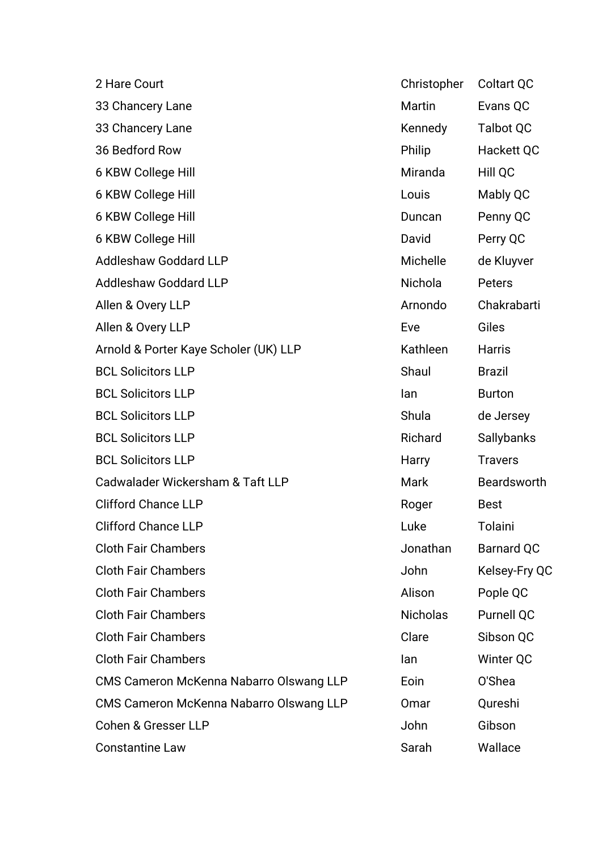| 2 Hare Court                            | Christopher     | <b>Coltart QC</b> |
|-----------------------------------------|-----------------|-------------------|
| 33 Chancery Lane                        | Martin          | Evans QC          |
| 33 Chancery Lane                        | Kennedy         | <b>Talbot QC</b>  |
| 36 Bedford Row                          | Philip          | Hackett QC        |
| 6 KBW College Hill                      | Miranda         | Hill QC           |
| 6 KBW College Hill                      | Louis           | Mably QC          |
| 6 KBW College Hill                      | Duncan          | Penny QC          |
| 6 KBW College Hill                      | David           | Perry QC          |
| <b>Addleshaw Goddard LLP</b>            | Michelle        | de Kluyver        |
| <b>Addleshaw Goddard LLP</b>            | Nichola         | Peters            |
| Allen & Overy LLP                       | Arnondo         | Chakrabarti       |
| Allen & Overy LLP                       | Eve             | Giles             |
| Arnold & Porter Kaye Scholer (UK) LLP   | Kathleen        | <b>Harris</b>     |
| <b>BCL Solicitors LLP</b>               | Shaul           | <b>Brazil</b>     |
| <b>BCL Solicitors LLP</b>               | lan             | <b>Burton</b>     |
| <b>BCL Solicitors LLP</b>               | Shula           | de Jersey         |
| <b>BCL Solicitors LLP</b>               | Richard         | Sallybanks        |
| <b>BCL Solicitors LLP</b>               | Harry           | <b>Travers</b>    |
| Cadwalader Wickersham & Taft LLP        | Mark            | Beardsworth       |
| <b>Clifford Chance LLP</b>              | Roger           | <b>Best</b>       |
| <b>Clifford Chance LLP</b>              | Luke            | Tolaini           |
| <b>Cloth Fair Chambers</b>              | Jonathan        | <b>Barnard QC</b> |
| <b>Cloth Fair Chambers</b>              | John            | Kelsey-Fry QC     |
| <b>Cloth Fair Chambers</b>              | Alison          | Pople QC          |
| <b>Cloth Fair Chambers</b>              | <b>Nicholas</b> | Purnell QC        |
| <b>Cloth Fair Chambers</b>              | Clare           | Sibson QC         |
| <b>Cloth Fair Chambers</b>              | lan             | Winter QC         |
| CMS Cameron McKenna Nabarro Olswang LLP | Eoin            | O'Shea            |
| CMS Cameron McKenna Nabarro Olswang LLP | Omar            | Qureshi           |
| <b>Cohen &amp; Gresser LLP</b>          | John            | Gibson            |
| <b>Constantine Law</b>                  | Sarah           | Wallace           |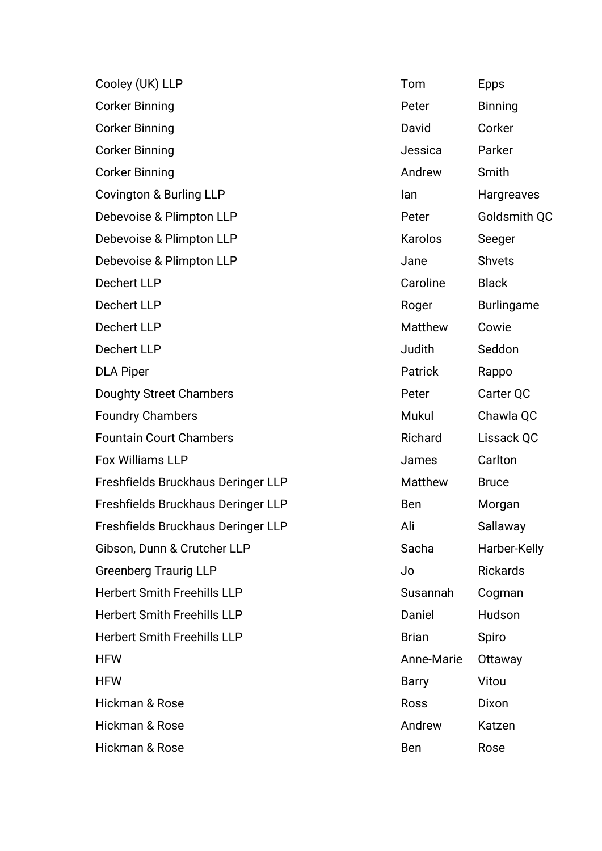| Cooley (UK) LLP                    | Tom            | <b>Epps</b>       |
|------------------------------------|----------------|-------------------|
| <b>Corker Binning</b>              | Peter          | <b>Binning</b>    |
| <b>Corker Binning</b>              | David          | Corker            |
| <b>Corker Binning</b>              | Jessica        | Parker            |
| <b>Corker Binning</b>              | Andrew         | Smith             |
| Covington & Burling LLP            | lan            | Hargreaves        |
| Debevoise & Plimpton LLP           | Peter          | Goldsmith QC      |
| Debevoise & Plimpton LLP           | Karolos        | Seeger            |
| Debevoise & Plimpton LLP           | Jane           | <b>Shvets</b>     |
| <b>Dechert LLP</b>                 | Caroline       | <b>Black</b>      |
| <b>Dechert LLP</b>                 | Roger          | <b>Burlingame</b> |
| <b>Dechert LLP</b>                 | <b>Matthew</b> | Cowie             |
| <b>Dechert LLP</b>                 | Judith         | Seddon            |
| <b>DLA Piper</b>                   | Patrick        | Rappo             |
| <b>Doughty Street Chambers</b>     | Peter          | Carter QC         |
| <b>Foundry Chambers</b>            | Mukul          | Chawla QC         |
| <b>Fountain Court Chambers</b>     | Richard        | Lissack QC        |
| <b>Fox Williams LLP</b>            | James          | Carlton           |
| Freshfields Bruckhaus Deringer LLP | Matthew        | <b>Bruce</b>      |
| Freshfields Bruckhaus Deringer LLP | <b>Ben</b>     | Morgan            |
| Freshfields Bruckhaus Deringer LLP | Ali            | Sallaway          |
| Gibson, Dunn & Crutcher LLP        | Sacha          | Harber-Kelly      |
| <b>Greenberg Traurig LLP</b>       | Jo             | <b>Rickards</b>   |
| <b>Herbert Smith Freehills LLP</b> | Susannah       | Cogman            |
| <b>Herbert Smith Freehills LLP</b> | Daniel         | Hudson            |
| <b>Herbert Smith Freehills LLP</b> | <b>Brian</b>   | Spiro             |
| <b>HFW</b>                         | Anne-Marie     | Ottaway           |
| <b>HFW</b>                         | <b>Barry</b>   | Vitou             |
| Hickman & Rose                     | <b>Ross</b>    | Dixon             |
| Hickman & Rose                     | Andrew         | Katzen            |
| Hickman & Rose                     | Ben            | Rose              |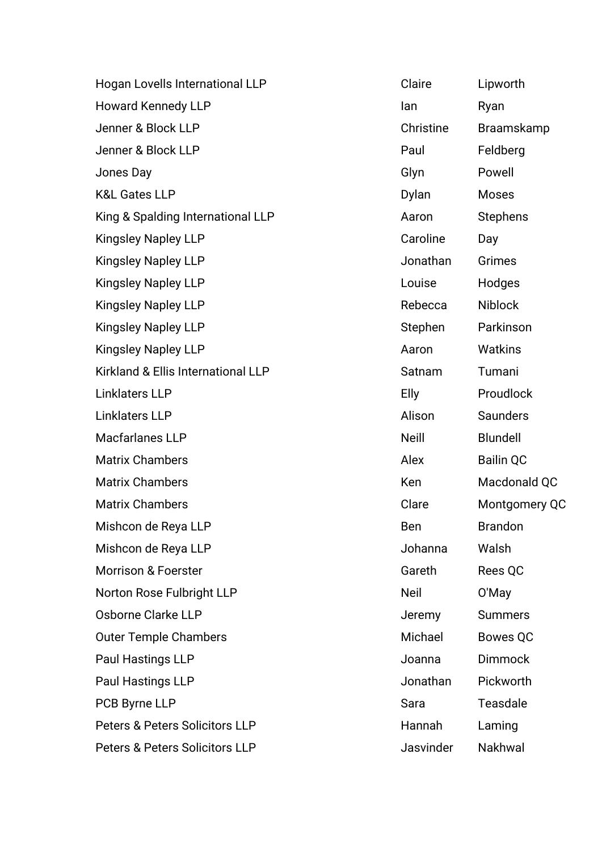| Hogan Lovells International LLP           | Claire       | Lipworth         |
|-------------------------------------------|--------------|------------------|
| <b>Howard Kennedy LLP</b>                 | lan          | Ryan             |
| Jenner & Block LLP                        | Christine    | Braamskamp       |
| Jenner & Block LLP                        | Paul         | Feldberg         |
| Jones Day                                 | Glyn         | Powell           |
| <b>K&amp;L Gates LLP</b>                  | Dylan        | <b>Moses</b>     |
| King & Spalding International LLP         | Aaron        | <b>Stephens</b>  |
| <b>Kingsley Napley LLP</b>                | Caroline     | Day              |
| <b>Kingsley Napley LLP</b>                | Jonathan     | Grimes           |
| <b>Kingsley Napley LLP</b>                | Louise       | Hodges           |
| <b>Kingsley Napley LLP</b>                | Rebecca      | <b>Niblock</b>   |
| <b>Kingsley Napley LLP</b>                | Stephen      | Parkinson        |
| <b>Kingsley Napley LLP</b>                | Aaron        | Watkins          |
| Kirkland & Ellis International LLP        | Satnam       | Tumani           |
| <b>Linklaters LLP</b>                     | Elly         | Proudlock        |
| <b>Linklaters LLP</b>                     | Alison       | Saunders         |
| Macfarlanes LLP                           | <b>Neill</b> | <b>Blundell</b>  |
| <b>Matrix Chambers</b>                    | Alex         | <b>Bailin QC</b> |
| <b>Matrix Chambers</b>                    | Ken          | Macdonald QC     |
| <b>Matrix Chambers</b>                    | Clare        | Montgomery QC    |
| Mishcon de Reya LLP                       | Ben          | <b>Brandon</b>   |
| Mishcon de Reya LLP                       | Johanna      | Walsh            |
| <b>Morrison &amp; Foerster</b>            | Gareth       | Rees QC          |
| Norton Rose Fulbright LLP                 | <b>Neil</b>  | O'May            |
| Osborne Clarke LLP                        | Jeremy       | <b>Summers</b>   |
| <b>Outer Temple Chambers</b>              | Michael      | <b>Bowes QC</b>  |
| Paul Hastings LLP                         | Joanna       | <b>Dimmock</b>   |
| Paul Hastings LLP                         | Jonathan     | Pickworth        |
| PCB Byrne LLP                             | Sara         | <b>Teasdale</b>  |
| <b>Peters &amp; Peters Solicitors LLP</b> | Hannah       | Laming           |
| Peters & Peters Solicitors LLP            | Jasvinder    | Nakhwal          |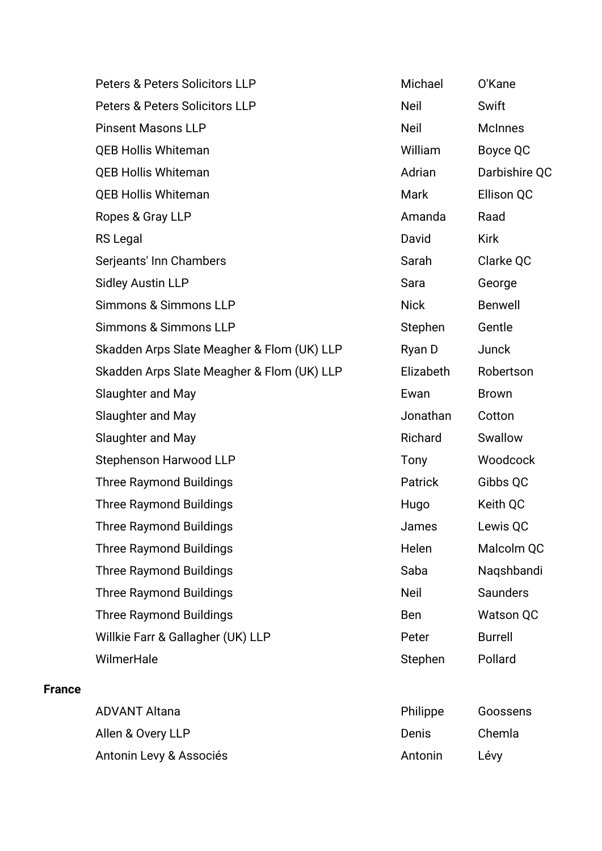Peters & Peters Solicitors LLP Michael O'Kane Peters & Peters Solicitors LLP Neil Neil Swift Pinsent Masons LLP Neil Neil McInnes QEB Hollis Whiteman November 2012 10:00 William Boyce OC **OEB Hollis Whiteman CONFIDENTIAL CONFIDENT CONFIDENT Adrian** Darbishire OC **OEB Hollis Whiteman** Mark Mark Ellison OC Ropes & Gray LLP **Amanda** Raad RS Legal **National Accord RS Legal** Accord Payer Accord David Kirk Serjeants' Inn Chambers Sarah Clarke QC Sidley Austin LLP **Sara** George Sara George Simmons & Simmons LLP Nick Benwell Simmons & Simmons LLP Simmons Stephen Gentle Skadden Arps Slate Meagher & Flom (UK) LLP Ryan D Junck Skadden Arps Slate Meagher & Flom (UK) LLP Flizabeth Robertson Slaughter and May **Example 2018** Slaughter and May **Ewan** Brown Slaughter and May **Slaughter and May Jonathan** Cotton Slaughter and May **Richard** Swallow Stephenson Harwood LLP Tony Tony Woodcock Three Raymond Buildings Three Raymond Buildings and America Control of Patrick Gibbs QC Three Raymond Buildings Three Raymond Buildings Three Raymond Buildings Three Raymond Buildings and American Communist Communist Communist Communist Communist Communist Communist Communist Communist Communist Communist Communist Communist Communist Communist Communist C Three Raymond Buildings Three Raymond Buildings and Malcolm QC Three Raymond Buildings Three Raymond Buildings Saba Naqshbandi Three Raymond Buildings Neil Saunders Three Raymond Buildings Three Raymond Buildings and Ben Watson QC Willkie Farr & Gallagher (UK) LLP Peter Burrell WilmerHale **WilmerHale Stephen** Pollard

**France**

| <b>ADVANT Altana</b>    | Philippe | Goossens |
|-------------------------|----------|----------|
| Allen & Overy LLP       | Denis    | Chemla   |
| Antonin Levy & Associés | Antonin  | Lévy     |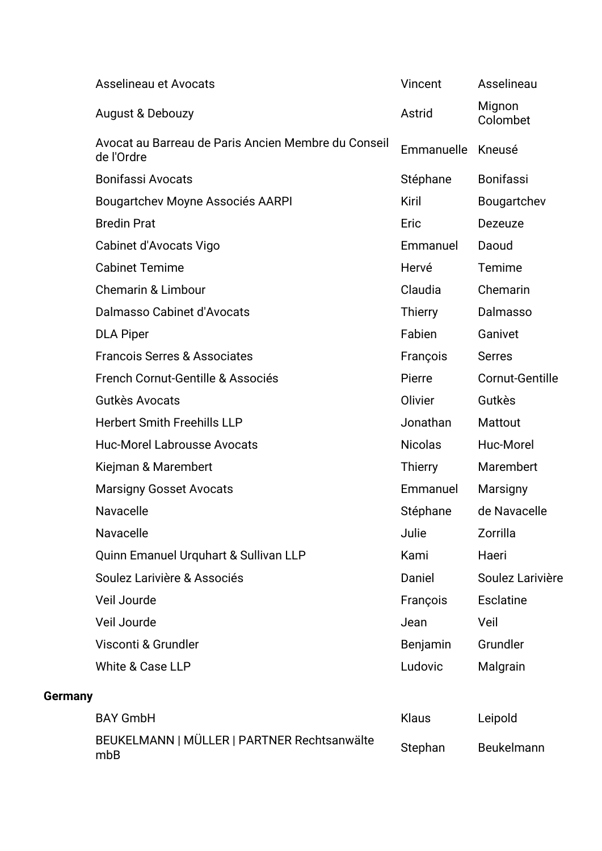|                | Asselineau et Avocats                                             | Vincent        | Asselineau         |
|----------------|-------------------------------------------------------------------|----------------|--------------------|
|                | August & Debouzy                                                  | Astrid         | Mignon<br>Colombet |
|                | Avocat au Barreau de Paris Ancien Membre du Conseil<br>de l'Ordre | Emmanuelle     | Kneusé             |
|                | <b>Bonifassi Avocats</b>                                          | Stéphane       | <b>Bonifassi</b>   |
|                | Bougartchev Moyne Associés AARPI                                  | Kiril          | Bougartchev        |
|                | <b>Bredin Prat</b>                                                | Eric           | Dezeuze            |
|                | Cabinet d'Avocats Vigo                                            | Emmanuel       | Daoud              |
|                | <b>Cabinet Temime</b>                                             | Hervé          | Temime             |
|                | <b>Chemarin &amp; Limbour</b>                                     | Claudia        | Chemarin           |
|                | Dalmasso Cabinet d'Avocats                                        | <b>Thierry</b> | Dalmasso           |
|                | <b>DLA Piper</b>                                                  | Fabien         | Ganivet            |
|                | <b>Francois Serres &amp; Associates</b>                           | François       | <b>Serres</b>      |
|                | French Cornut-Gentille & Associés                                 | Pierre         | Cornut-Gentille    |
|                | Gutkès Avocats                                                    | Olivier        | Gutkès             |
|                | <b>Herbert Smith Freehills LLP</b>                                | Jonathan       | Mattout            |
|                | <b>Huc-Morel Labrousse Avocats</b>                                | <b>Nicolas</b> | Huc-Morel          |
|                | Kiejman & Marembert                                               | <b>Thierry</b> | Marembert          |
|                | <b>Marsigny Gosset Avocats</b>                                    | Emmanuel       | Marsigny           |
|                | Navacelle                                                         | Stéphane       | de Navacelle       |
|                | Navacelle                                                         | Julie          | Zorrilla           |
|                | Quinn Emanuel Urquhart & Sullivan LLP                             | Kami           | Haeri              |
|                | Soulez Larivière & Associés                                       | Daniel         | Soulez Larivière   |
|                | Veil Jourde                                                       | François       | <b>Esclatine</b>   |
|                | Veil Jourde                                                       | Jean           | Veil               |
|                | Visconti & Grundler                                               | Benjamin       | Grundler           |
|                | White & Case LLP                                                  | Ludovic        | Malgrain           |
| <b>Germany</b> |                                                                   |                |                    |
|                | <b>BAY GmbH</b>                                                   | Klaus          | Leipold            |
|                | BEUKELMANN   MÜLLER   PARTNER Rechtsanwälte<br>mbB                | Stephan        | Beukelmann         |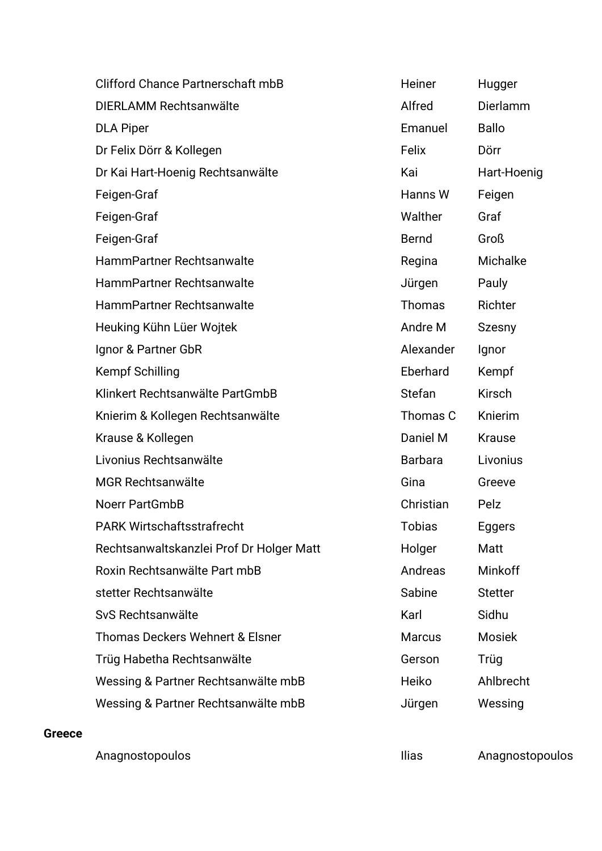| Clifford Chance Partnerschaft mbB          | Heiner         | Hugger         |
|--------------------------------------------|----------------|----------------|
| DIERLAMM Rechtsanwälte                     | Alfred         | Dierlamm       |
| <b>DLA Piper</b>                           | Emanuel        | <b>Ballo</b>   |
| Dr Felix Dörr & Kollegen                   | Felix          | Dörr           |
| Dr Kai Hart-Hoenig Rechtsanwälte           | Kai            | Hart-Hoenig    |
| Feigen-Graf                                | Hanns W        | Feigen         |
| Feigen-Graf                                | Walther        | Graf           |
| Feigen-Graf                                | <b>Bernd</b>   | Groß           |
| HammPartner Rechtsanwalte                  | Regina         | Michalke       |
| HammPartner Rechtsanwalte                  | Jürgen         | Pauly          |
| HammPartner Rechtsanwalte                  | Thomas         | Richter        |
| Heuking Kühn Lüer Wojtek                   | Andre M        | Szesny         |
| Ignor & Partner GbR                        | Alexander      | Ignor          |
| <b>Kempf Schilling</b>                     | Eberhard       | Kempf          |
| Klinkert Rechtsanwälte PartGmbB            | <b>Stefan</b>  | <b>Kirsch</b>  |
| Knierim & Kollegen Rechtsanwälte           | Thomas C       | Knierim        |
| Krause & Kollegen                          | Daniel M       | <b>Krause</b>  |
| Livonius Rechtsanwälte                     | <b>Barbara</b> | Livonius       |
| <b>MGR Rechtsanwälte</b>                   | Gina           | Greeve         |
| <b>Noerr PartGmbB</b>                      | Christian      | Pelz           |
| <b>PARK Wirtschaftsstrafrecht</b>          | Tobias         | Eggers         |
| Rechtsanwaltskanzlei Prof Dr Holger Matt   | Holger         | Matt           |
| Roxin Rechtsanwälte Part mbB               | Andreas        | Minkoff        |
| stetter Rechtsanwälte                      | Sabine         | <b>Stetter</b> |
| SvS Rechtsanwälte                          | Karl           | Sidhu          |
| <b>Thomas Deckers Wehnert &amp; Elsner</b> | <b>Marcus</b>  | <b>Mosiek</b>  |
| Trüg Habetha Rechtsanwälte                 | Gerson         | Trüg           |
| Wessing & Partner Rechtsanwälte mbB        | Heiko          | Ahlbrecht      |
| Wessing & Partner Rechtsanwälte mbB        | Jürgen         | Wessing        |

#### **Greece**

Anagnostopoulos **Anagnostopoulos** Ilias Anagnostopoulos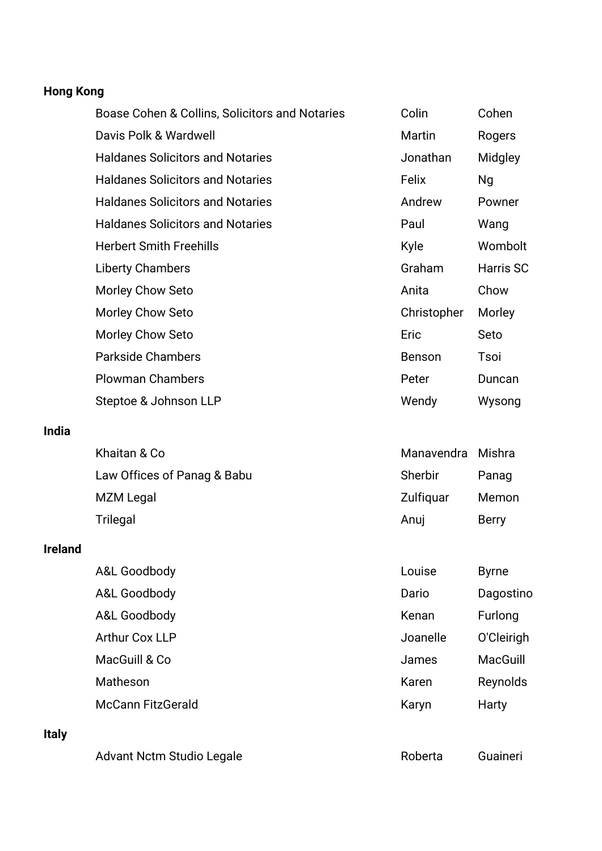## **Hong Kong**

| Boase Cohen & Collins, Solicitors and Notaries | Colin         | Cohen            |
|------------------------------------------------|---------------|------------------|
| Davis Polk & Wardwell                          | Martin        | Rogers           |
| <b>Haldanes Solicitors and Notaries</b>        | Jonathan      | Midgley          |
| <b>Haldanes Solicitors and Notaries</b>        | Felix         | Ng               |
| <b>Haldanes Solicitors and Notaries</b>        | Andrew        | Powner           |
| <b>Haldanes Solicitors and Notaries</b>        | Paul          | Wang             |
| <b>Herbert Smith Freehills</b>                 | Kyle          | Wombolt          |
| <b>Liberty Chambers</b>                        | Graham        | <b>Harris SC</b> |
| Morley Chow Seto                               | Anita         | Chow             |
| Morley Chow Seto                               | Christopher   | Morley           |
| Morley Chow Seto                               | Eric          | Seto             |
| <b>Parkside Chambers</b>                       | <b>Benson</b> | Tsoi             |
| <b>Plowman Chambers</b>                        | Peter         | Duncan           |
| Steptoe & Johnson LLP                          | Wendy         | Wysong           |

#### **India**

| Khaitan & Co                | Manavendra Mishra |              |
|-----------------------------|-------------------|--------------|
| Law Offices of Panag & Babu | Sherbir           | Panag        |
| MZM Legal                   | Zulfiquar         | Memon        |
| Trilegal                    | Anui              | <b>Berry</b> |

#### **Ireland**

| A&L Goodbody             | Louise   | <b>Byrne</b> |
|--------------------------|----------|--------------|
| A&L Goodbody             | Dario    | Dagostino    |
| A&L Goodbody             | Kenan    | Furlong      |
| <b>Arthur Cox LLP</b>    | Joanelle | O'Cleirigh   |
| MacGuill & Co            | James    | MacGuill     |
| Matheson                 | Karen    | Reynolds     |
| <b>McCann FitzGerald</b> | Karyn    | Harty        |
|                          |          |              |

## **Italy**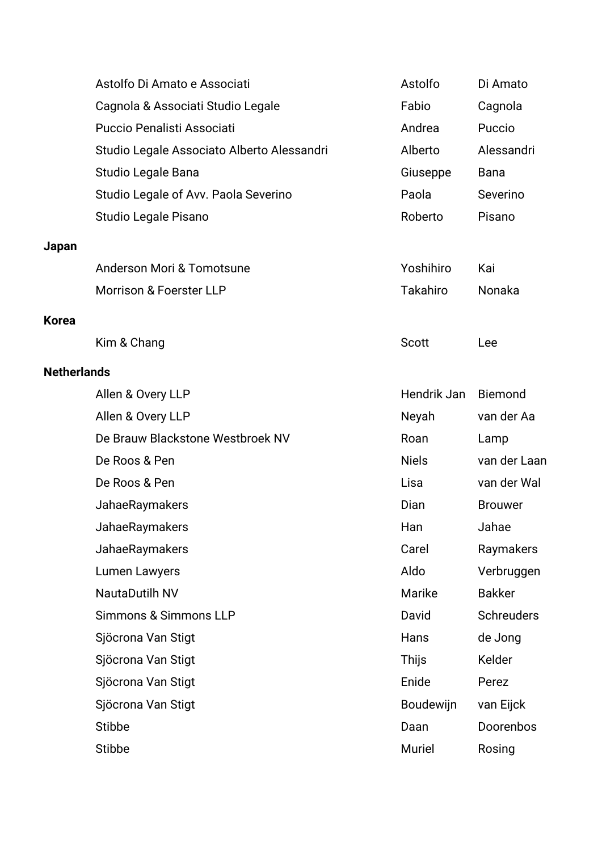|                    | Astolfo Di Amato e Associati               | Astolfo          | Di Amato          |
|--------------------|--------------------------------------------|------------------|-------------------|
|                    | Cagnola & Associati Studio Legale          | Fabio            | Cagnola           |
|                    | Puccio Penalisti Associati                 | Andrea           | Puccio            |
|                    | Studio Legale Associato Alberto Alessandri | Alberto          | Alessandri        |
|                    | Studio Legale Bana                         | Giuseppe         | <b>Bana</b>       |
|                    | Studio Legale of Avv. Paola Severino       | Paola            | Severino          |
|                    | Studio Legale Pisano                       | Roberto          | Pisano            |
| Japan              |                                            |                  |                   |
|                    | Anderson Mori & Tomotsune                  | Yoshihiro        | Kai               |
|                    | <b>Morrison &amp; Foerster LLP</b>         | Takahiro         | Nonaka            |
|                    |                                            |                  |                   |
| Korea              |                                            | Scott            | Lee               |
|                    | Kim & Chang                                |                  |                   |
| <b>Netherlands</b> |                                            |                  |                   |
|                    | Allen & Overy LLP                          | Hendrik Jan      | <b>Biemond</b>    |
|                    | Allen & Overy LLP                          | Neyah            | van der Aa        |
|                    | De Brauw Blackstone Westbroek NV           | Roan             | Lamp              |
|                    | De Roos & Pen                              | <b>Niels</b>     | van der Laan      |
|                    | De Roos & Pen                              | Lisa             | van der Wal       |
|                    | JahaeRaymakers                             | Dian             | <b>Brouwer</b>    |
|                    | JahaeRaymakers                             | Han              | Jahae             |
|                    | JahaeRaymakers                             | Carel            | Raymakers         |
|                    | Lumen Lawyers                              | Aldo             | Verbruggen        |
|                    | <b>NautaDutilh NV</b>                      | Marike           | <b>Bakker</b>     |
|                    | <b>Simmons &amp; Simmons LLP</b>           | David            | <b>Schreuders</b> |
|                    | Sjöcrona Van Stigt                         | Hans             | de Jong           |
|                    | Sjöcrona Van Stigt                         | Thijs            | Kelder            |
|                    | Sjöcrona Van Stigt                         | Enide            | Perez             |
|                    | Sjöcrona Van Stigt                         | <b>Boudewijn</b> | van Eijck         |
|                    | <b>Stibbe</b>                              | Daan             | Doorenbos         |
|                    | <b>Stibbe</b>                              | Muriel           | Rosing            |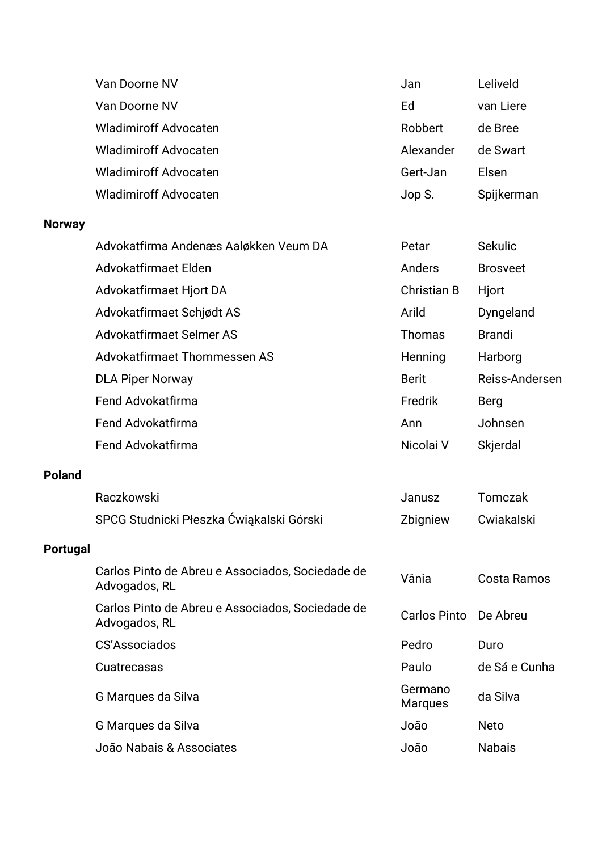|                 | Van Doorne NV                                                     | Jan                       | Leliveld        |
|-----------------|-------------------------------------------------------------------|---------------------------|-----------------|
|                 | Van Doorne NV                                                     | Ed                        | van Liere       |
|                 | <b>Wladimiroff Advocaten</b>                                      | Robbert                   | de Bree         |
|                 | <b>Wladimiroff Advocaten</b>                                      | Alexander                 | de Swart        |
|                 | <b>Wladimiroff Advocaten</b>                                      | Gert-Jan                  | Elsen           |
|                 | <b>Wladimiroff Advocaten</b>                                      | Jop S.                    | Spijkerman      |
| <b>Norway</b>   |                                                                   |                           |                 |
|                 | Advokatfirma Andenæs Aaløkken Veum DA                             | Petar                     | Sekulic         |
|                 | Advokatfirmaet Elden                                              | Anders                    | <b>Brosveet</b> |
|                 | Advokatfirmaet Hjort DA                                           | <b>Christian B</b>        | Hjort           |
|                 | Advokatfirmaet Schjødt AS                                         | Arild                     | Dyngeland       |
|                 | Advokatfirmaet Selmer AS                                          | <b>Thomas</b>             | <b>Brandi</b>   |
|                 | Advokatfirmaet Thommessen AS                                      | Henning                   | Harborg         |
|                 | <b>DLA Piper Norway</b>                                           | <b>Berit</b>              | Reiss-Andersen  |
|                 | Fend Advokatfirma                                                 | Fredrik                   | Berg            |
|                 | Fend Advokatfirma                                                 | Ann                       | Johnsen         |
|                 | Fend Advokatfirma                                                 | Nicolai V                 | Skjerdal        |
| <b>Poland</b>   |                                                                   |                           |                 |
|                 | Raczkowski                                                        | Janusz                    | Tomczak         |
|                 | SPCG Studnicki Płeszka Ćwiąkalski Górski                          | Zbigniew                  | Cwiakalski      |
| <b>Portugal</b> |                                                                   |                           |                 |
|                 | Carlos Pinto de Abreu e Associados, Sociedade de<br>Advogados, RL | Vânia                     | Costa Ramos     |
|                 | Carlos Pinto de Abreu e Associados, Sociedade de<br>Advogados, RL | <b>Carlos Pinto</b>       | De Abreu        |
|                 | <b>CS'Associados</b>                                              | Pedro                     | Duro            |
|                 | Cuatrecasas                                                       | Paulo                     | de Sá e Cunha   |
|                 | G Marques da Silva                                                | Germano<br><b>Marques</b> | da Silva        |
|                 | G Marques da Silva                                                | João                      | <b>Neto</b>     |
|                 | João Nabais & Associates                                          | João                      | <b>Nabais</b>   |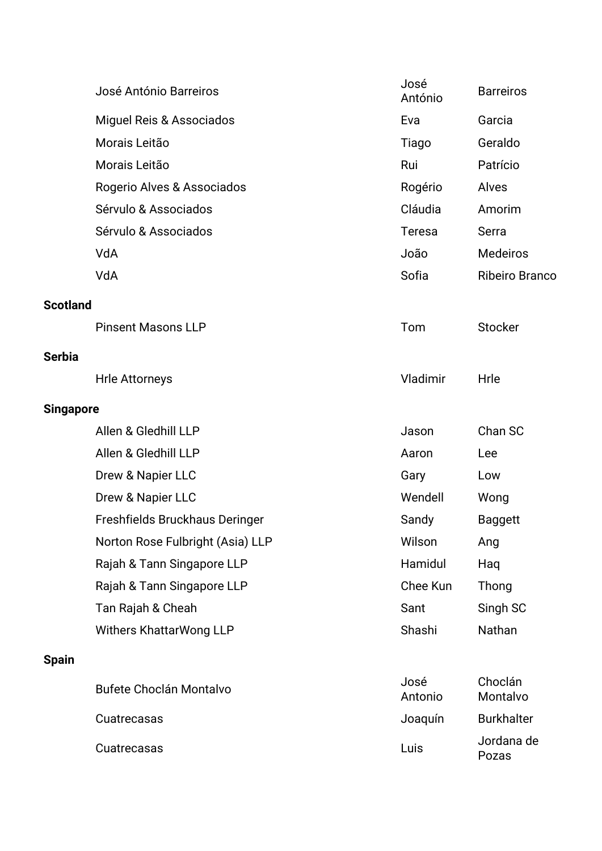|                  | José António Barreiros           | José<br>António | <b>Barreiros</b>      |
|------------------|----------------------------------|-----------------|-----------------------|
|                  | Miguel Reis & Associados         | Eva             | Garcia                |
|                  | Morais Leitão                    | Tiago           | Geraldo               |
|                  | Morais Leitão                    | Rui             | Patrício              |
|                  | Rogerio Alves & Associados       | Rogério         | Alves                 |
|                  | Sérvulo & Associados             | Cláudia         | Amorim                |
|                  | Sérvulo & Associados             | Teresa          | Serra                 |
|                  | VdA                              | João            | <b>Medeiros</b>       |
|                  | VdA                              | Sofia           | <b>Ribeiro Branco</b> |
| <b>Scotland</b>  |                                  |                 |                       |
|                  | <b>Pinsent Masons LLP</b>        | Tom             | <b>Stocker</b>        |
| <b>Serbia</b>    |                                  |                 |                       |
|                  | <b>Hrle Attorneys</b>            | Vladimir        | Hrle                  |
| <b>Singapore</b> |                                  |                 |                       |
|                  | Allen & Gledhill LLP             | Jason           | Chan SC               |
|                  | Allen & Gledhill LLP             | Aaron           | Lee                   |
|                  | Drew & Napier LLC                | Gary            | Low                   |
|                  | Drew & Napier LLC                | Wendell         | Wong                  |
|                  | Freshfields Bruckhaus Deringer   | Sandy           | <b>Baggett</b>        |
|                  | Norton Rose Fulbright (Asia) LLP | Wilson          | Ang                   |
|                  | Rajah & Tann Singapore LLP       | Hamidul         | Haq                   |
|                  | Rajah & Tann Singapore LLP       | Chee Kun        | Thong                 |
|                  | Tan Rajah & Cheah                | Sant            | Singh SC              |
|                  | Withers KhattarWong LLP          | Shashi          | Nathan                |
| <b>Spain</b>     |                                  |                 |                       |
|                  | <b>Bufete Choclán Montalvo</b>   | José<br>Antonio | Choclán<br>Montalvo   |
|                  | Cuatrecasas                      | Joaquín         | <b>Burkhalter</b>     |
|                  | Cuatrecasas                      | Luis            | Jordana de<br>Pozas   |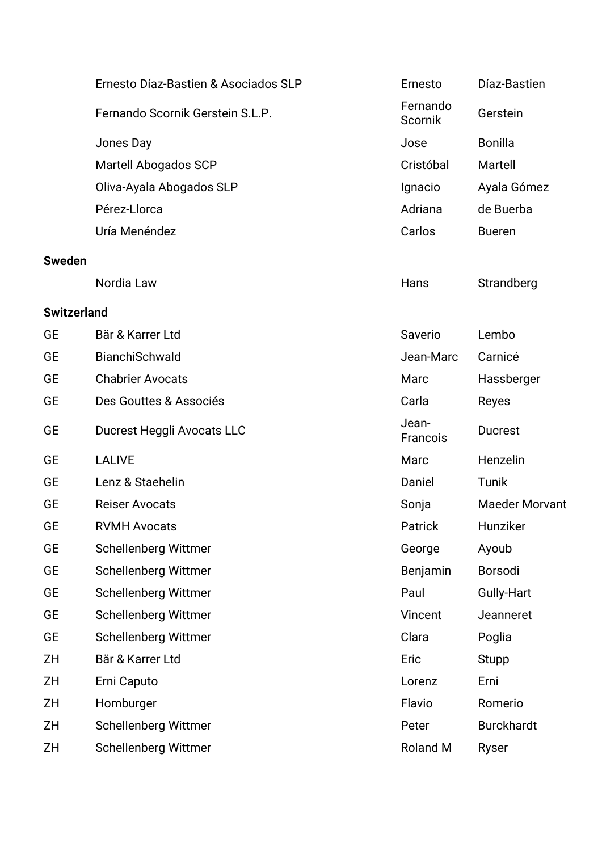|                    | Ernesto Díaz-Bastien & Asociados SLP | Ernesto             | Díaz-Bastien          |
|--------------------|--------------------------------------|---------------------|-----------------------|
|                    | Fernando Scornik Gerstein S.L.P.     | Fernando<br>Scornik | Gerstein              |
|                    | Jones Day                            | Jose                | <b>Bonilla</b>        |
|                    | <b>Martell Abogados SCP</b>          | Cristóbal           | Martell               |
|                    | Oliva-Ayala Abogados SLP             | Ignacio             | Ayala Gómez           |
|                    | Pérez-Llorca                         | Adriana             | de Buerba             |
|                    | Uría Menéndez                        | Carlos              | <b>Bueren</b>         |
| <b>Sweden</b>      |                                      |                     |                       |
|                    | Nordia Law                           | Hans                | Strandberg            |
| <b>Switzerland</b> |                                      |                     |                       |
| <b>GE</b>          | Bär & Karrer Ltd                     | Saverio             | Lembo                 |
| <b>GE</b>          | BianchiSchwald                       | Jean-Marc           | Carnicé               |
| <b>GE</b>          | <b>Chabrier Avocats</b>              | Marc                | Hassberger            |
| <b>GE</b>          | Des Gouttes & Associés               | Carla               | Reyes                 |
| <b>GE</b>          | Ducrest Heggli Avocats LLC           | Jean-<br>Francois   | <b>Ducrest</b>        |
| <b>GE</b>          | <b>LALIVE</b>                        | Marc                | Henzelin              |
| <b>GE</b>          | Lenz & Staehelin                     | Daniel              | Tunik                 |
| <b>GE</b>          | <b>Reiser Avocats</b>                | Sonja               | <b>Maeder Morvant</b> |
| <b>GE</b>          | <b>RVMH Avocats</b>                  | Patrick             | Hunziker              |
| <b>GE</b>          | <b>Schellenberg Wittmer</b>          | George              | Ayoub                 |
| <b>GE</b>          | <b>Schellenberg Wittmer</b>          | Benjamin            | Borsodi               |
| <b>GE</b>          | <b>Schellenberg Wittmer</b>          | Paul                | Gully-Hart            |
| <b>GE</b>          | <b>Schellenberg Wittmer</b>          | Vincent             | Jeanneret             |
| GE                 | Schellenberg Wittmer                 | Clara               | Poglia                |
| ZΗ                 | Bär & Karrer Ltd                     | Eric                | <b>Stupp</b>          |
| ZΗ                 | Erni Caputo                          | Lorenz              | Erni                  |
| ZΗ                 | Homburger                            | Flavio              | Romerio               |
| ZΗ                 | <b>Schellenberg Wittmer</b>          | Peter               | <b>Burckhardt</b>     |
| ZH                 | Schellenberg Wittmer                 | <b>Roland M</b>     | Ryser                 |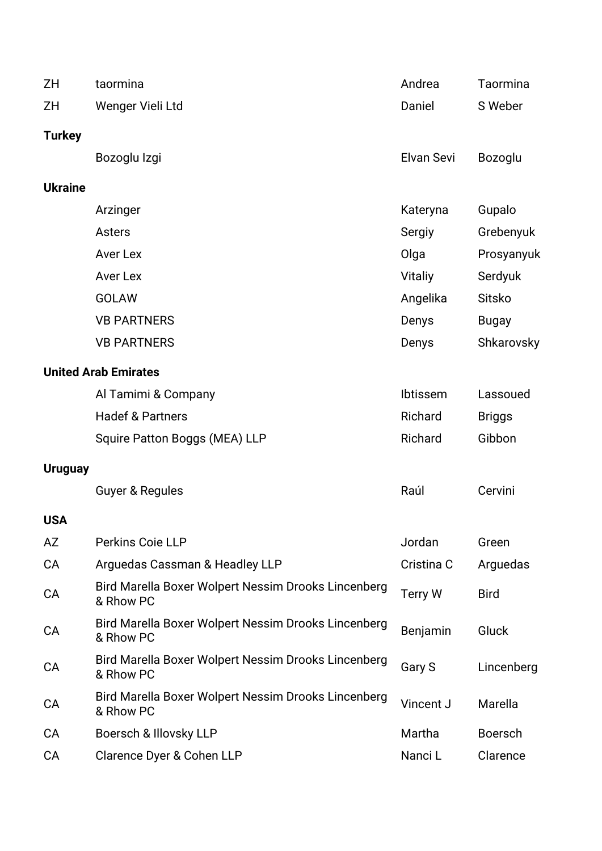| ZΗ             | taormina                                                         | Andrea         | Taormina       |
|----------------|------------------------------------------------------------------|----------------|----------------|
| ΖH             | Wenger Vieli Ltd                                                 | Daniel         | S Weber        |
| <b>Turkey</b>  |                                                                  |                |                |
|                | Bozoglu Izgi                                                     | Elvan Sevi     | <b>Bozoglu</b> |
| <b>Ukraine</b> |                                                                  |                |                |
|                | Arzinger                                                         | Kateryna       | Gupalo         |
|                | <b>Asters</b>                                                    | Sergiy         | Grebenyuk      |
|                | <b>Aver Lex</b>                                                  | Olga           | Prosyanyuk     |
|                | <b>Aver Lex</b>                                                  | <b>Vitaliy</b> | Serdyuk        |
|                | <b>GOLAW</b>                                                     | Angelika       | Sitsko         |
|                | <b>VB PARTNERS</b>                                               | Denys          | <b>Bugay</b>   |
|                | <b>VB PARTNERS</b>                                               | Denys          | Shkarovsky     |
|                | <b>United Arab Emirates</b>                                      |                |                |
|                | Al Tamimi & Company                                              | Ibtissem       | Lassoued       |
|                | <b>Hadef &amp; Partners</b>                                      | Richard        | <b>Briggs</b>  |
|                | Squire Patton Boggs (MEA) LLP                                    | Richard        | Gibbon         |
| <b>Uruguay</b> |                                                                  |                |                |
|                | <b>Guyer &amp; Regules</b>                                       | Raúl           | Cervini        |
| <b>USA</b>     |                                                                  |                |                |
| AZ             | Perkins Coie LLP                                                 | Jordan         | Green          |
| <b>CA</b>      | Arguedas Cassman & Headley LLP                                   | Cristina C     | Arguedas       |
| CA             | Bird Marella Boxer Wolpert Nessim Drooks Lincenberg<br>& Rhow PC | <b>Terry W</b> | <b>Bird</b>    |
| CA             | Bird Marella Boxer Wolpert Nessim Drooks Lincenberg<br>& Rhow PC | Benjamin       | Gluck          |
| CA             | Bird Marella Boxer Wolpert Nessim Drooks Lincenberg<br>& Rhow PC | Gary S         | Lincenberg     |
| CA             | Bird Marella Boxer Wolpert Nessim Drooks Lincenberg<br>& Rhow PC | Vincent J      | Marella        |
| <b>CA</b>      | Boersch & Illovsky LLP                                           | Martha         | <b>Boersch</b> |
| CA             | Clarence Dyer & Cohen LLP                                        | Nanci L        | Clarence       |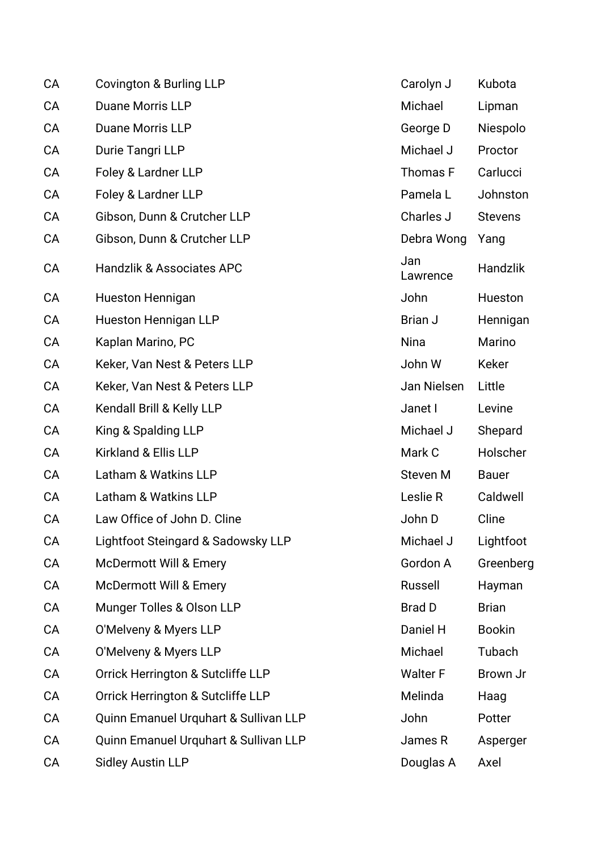| CA        | Covington & Burling LLP               | Carolyn J       | Kubota          |
|-----------|---------------------------------------|-----------------|-----------------|
| CA        | <b>Duane Morris LLP</b>               | Michael         | Lipman          |
| CA        | Duane Morris LLP                      | George D        | Niespolo        |
| CA        | Durie Tangri LLP                      | Michael J       | Proctor         |
| CA        | Foley & Lardner LLP                   | Thomas F        | Carlucci        |
| CA        | Foley & Lardner LLP                   | Pamela L        | Johnston        |
| CA        | Gibson, Dunn & Crutcher LLP           | Charles J       | <b>Stevens</b>  |
| CA        | Gibson, Dunn & Crutcher LLP           | Debra Wong      | Yang            |
| CA        | <b>Handzlik &amp; Associates APC</b>  | Jan<br>Lawrence | <b>Handzlik</b> |
| CA        | <b>Hueston Hennigan</b>               | John            | Hueston         |
| CA        | <b>Hueston Hennigan LLP</b>           | Brian J         | Hennigan        |
| CA        | Kaplan Marino, PC                     | <b>Nina</b>     | Marino          |
| CA        | Keker, Van Nest & Peters LLP          | John W          | Keker           |
| CA        | Keker, Van Nest & Peters LLP          | Jan Nielsen     | Little          |
| CA        | Kendall Brill & Kelly LLP             | Janet I         | Levine          |
| CA        | King & Spalding LLP                   | Michael J       | Shepard         |
| CA        | Kirkland & Ellis LLP                  | Mark C          | Holscher        |
| CA        | Latham & Watkins LLP                  | Steven M        | <b>Bauer</b>    |
| CA        | Latham & Watkins LLP                  | Leslie R        | Caldwell        |
| CA        | Law Office of John D. Cline           | John D          | Cline           |
| CA        | Lightfoot Steingard & Sadowsky LLP    | Michael J       | Lightfoot       |
| CA        | <b>McDermott Will &amp; Emery</b>     | Gordon A        | Greenberg       |
| CA        | <b>McDermott Will &amp; Emery</b>     | Russell         | Hayman          |
| <b>CA</b> | Munger Tolles & Olson LLP             | <b>Brad D</b>   | <b>Brian</b>    |
| CA        | O'Melveny & Myers LLP                 | Daniel H        | <b>Bookin</b>   |
| CA        | O'Melveny & Myers LLP                 | Michael         | Tubach          |
| CA        | Orrick Herrington & Sutcliffe LLP     | <b>Walter F</b> | Brown Jr        |
| CA        | Orrick Herrington & Sutcliffe LLP     | Melinda         | Haag            |
| CA        | Quinn Emanuel Urquhart & Sullivan LLP | John            | Potter          |
| CA        | Quinn Emanuel Urquhart & Sullivan LLP | James R         | Asperger        |
| CA        | <b>Sidley Austin LLP</b>              | Douglas A       | Axel            |
|           |                                       |                 |                 |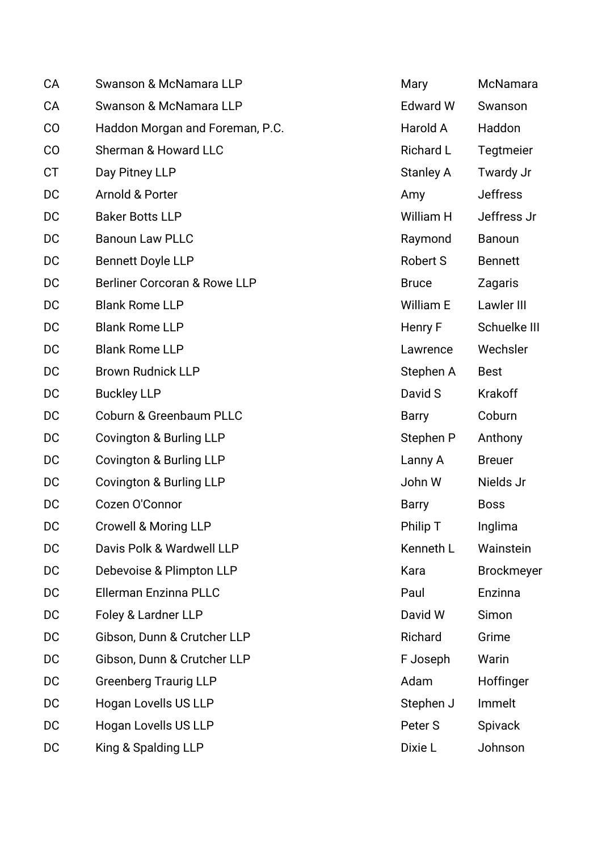| CA        | Swanson & McNamara LLP             | Mary             | McNamara          |
|-----------|------------------------------------|------------------|-------------------|
| CA        | Swanson & McNamara LLP             | <b>Edward W</b>  | Swanson           |
| CO        | Haddon Morgan and Foreman, P.C.    | Harold A         | Haddon            |
| CO        | Sherman & Howard LLC               | <b>Richard L</b> | Tegtmeier         |
| <b>CT</b> | Day Pitney LLP                     | <b>Stanley A</b> | Twardy Jr         |
| DC        | Arnold & Porter                    | Amy              | <b>Jeffress</b>   |
| DC        | <b>Baker Botts LLP</b>             | William H        | Jeffress Jr       |
| DC        | <b>Banoun Law PLLC</b>             | Raymond          | Banoun            |
| DC        | <b>Bennett Doyle LLP</b>           | Robert S         | <b>Bennett</b>    |
| DC        | Berliner Corcoran & Rowe LLP       | <b>Bruce</b>     | Zagaris           |
| DC        | <b>Blank Rome LLP</b>              | William E        | Lawler III        |
| DC        | <b>Blank Rome LLP</b>              | Henry F          | Schuelke III      |
| DC        | <b>Blank Rome LLP</b>              | Lawrence         | Wechsler          |
| DC        | <b>Brown Rudnick LLP</b>           | Stephen A        | <b>Best</b>       |
| DC        | <b>Buckley LLP</b>                 | David S          | Krakoff           |
| DC        | <b>Coburn &amp; Greenbaum PLLC</b> | <b>Barry</b>     | Coburn            |
| DC        | Covington & Burling LLP            | Stephen P        | Anthony           |
| DC        | Covington & Burling LLP            | Lanny A          | <b>Breuer</b>     |
| DC        | Covington & Burling LLP            | John W           | Nields Jr         |
| DC        | Cozen O'Connor                     | <b>Barry</b>     | <b>Boss</b>       |
| DC        | Crowell & Moring LLP               | Philip T         | Inglima           |
| DC        | Davis Polk & Wardwell LLP          | Kenneth L        | Wainstein         |
| DC        | Debevoise & Plimpton LLP           | Kara             | <b>Brockmeyer</b> |
| DC        | Ellerman Enzinna PLLC              | Paul             | Enzinna           |
| DC        | Foley & Lardner LLP                | David W          | Simon             |
| DC        | Gibson, Dunn & Crutcher LLP        | Richard          | Grime             |
| DC        | Gibson, Dunn & Crutcher LLP        | F Joseph         | Warin             |
| DC        | <b>Greenberg Traurig LLP</b>       | Adam             | Hoffinger         |
| DC        | Hogan Lovells US LLP               | Stephen J        | Immelt            |
| DC        | Hogan Lovells US LLP               | Peter S          | <b>Spivack</b>    |
| DC        | King & Spalding LLP                | Dixie L          | Johnson           |
|           |                                    |                  |                   |

| Mary             | McNamara          |
|------------------|-------------------|
| <b>Edward W</b>  | Swanson           |
| Harold A         | Haddon            |
| <b>Richard L</b> | Tegtmeier         |
| <b>Stanley A</b> | Twardy Jr         |
| Amy              | Jeffress          |
| William H        | Jeffress Jr       |
| Raymond          | Banoun            |
| <b>Robert S</b>  | Bennett           |
| <b>Bruce</b>     | Zagaris           |
| <b>William E</b> | Lawler III        |
| Henry F          | Schuelke III      |
| Lawrence         | Wechsler          |
| Stephen A        | Best              |
| David S          | Krakoff           |
| Barry            | Coburn            |
| Stephen P        | Anthony           |
| Lanny A          | <b>Breuer</b>     |
| John W           | Nields Jr         |
| Barry            | Boss              |
| Philip T         | Inglima           |
| Kenneth L        | Wainstein         |
| Kara             | <b>Brockmeyer</b> |
| Paul             | Enzinna           |
| David W          | Simon             |
| Richard          | Grime             |
| F Joseph         | Warin             |
| Adam             | Hoffinger         |
| Stephen J        | Immelt            |
| Peter S          | Spivack           |
| Dixie L          | Johnson           |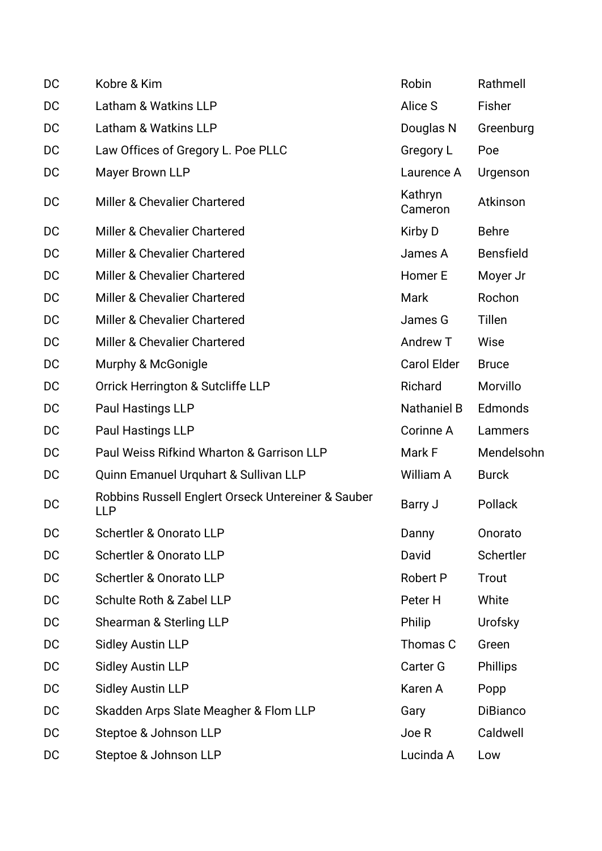| DC | Kobre & Kim                                               | Robin              | Rathmell         |
|----|-----------------------------------------------------------|--------------------|------------------|
| DC | Latham & Watkins LLP                                      | Alice S            | Fisher           |
| DC | Latham & Watkins LLP                                      | Douglas N          | Greenburg        |
| DC | Law Offices of Gregory L. Poe PLLC                        | Gregory L          | Poe              |
| DC | Mayer Brown LLP                                           | Laurence A         | Urgenson         |
| DC | Miller & Chevalier Chartered                              | Kathryn<br>Cameron | Atkinson         |
| DC | Miller & Chevalier Chartered                              | Kirby D            | <b>Behre</b>     |
| DC | Miller & Chevalier Chartered                              | James A            | <b>Bensfield</b> |
| DC | Miller & Chevalier Chartered                              | Homer E            | Moyer Jr         |
| DC | Miller & Chevalier Chartered                              | <b>Mark</b>        | Rochon           |
| DC | Miller & Chevalier Chartered                              | James G            | Tillen           |
| DC | Miller & Chevalier Chartered                              | Andrew T           | Wise             |
| DC | Murphy & McGonigle                                        | <b>Carol Elder</b> | <b>Bruce</b>     |
| DC | Orrick Herrington & Sutcliffe LLP                         | Richard            | Morvillo         |
| DC | Paul Hastings LLP                                         | <b>Nathaniel B</b> | Edmonds          |
| DC | Paul Hastings LLP                                         | Corinne A          | Lammers          |
| DC | Paul Weiss Rifkind Wharton & Garrison LLP                 | Mark F             | Mendelsohn       |
| DC | Quinn Emanuel Urquhart & Sullivan LLP                     | William A          | <b>Burck</b>     |
| DC | Robbins Russell Englert Orseck Untereiner & Sauber<br>LLP | Barry J            | Pollack          |
| DC | Schertler & Onorato LLP                                   | Danny              | Onorato          |
| DC | Schertler & Onorato LLP                                   | David              | Schertler        |
| DC | Schertler & Onorato LLP                                   | Robert P           | Trout            |
| DC | Schulte Roth & Zabel LLP                                  | Peter H            | White            |
| DC | Shearman & Sterling LLP                                   | Philip             | Urofsky          |
| DC | <b>Sidley Austin LLP</b>                                  | Thomas C           | Green            |
| DC | <b>Sidley Austin LLP</b>                                  | Carter G           | <b>Phillips</b>  |
| DC | <b>Sidley Austin LLP</b>                                  | Karen A            | Popp             |
| DC | Skadden Arps Slate Meagher & Flom LLP                     | Gary               | <b>DiBianco</b>  |
| DC | Steptoe & Johnson LLP                                     | Joe R              | Caldwell         |
| DC | Steptoe & Johnson LLP                                     | Lucinda A          | Low              |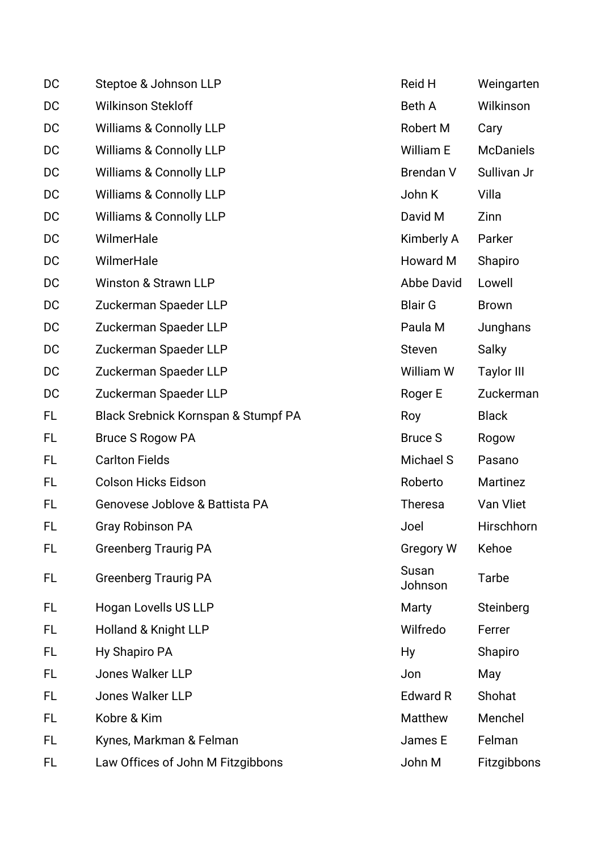| DC  | Steptoe & Johnson LLP               | Reid H           | Weingarten        |
|-----|-------------------------------------|------------------|-------------------|
| DC  | <b>Wilkinson Stekloff</b>           | <b>Beth A</b>    | Wilkinson         |
| DC  | <b>Williams &amp; Connolly LLP</b>  | <b>Robert M</b>  | Cary              |
| DC  | <b>Williams &amp; Connolly LLP</b>  | William E        | <b>McDaniels</b>  |
| DC  | <b>Williams &amp; Connolly LLP</b>  | <b>Brendan V</b> | Sullivan Jr       |
| DC  | <b>Williams &amp; Connolly LLP</b>  | John K           | Villa             |
| DC  | <b>Williams &amp; Connolly LLP</b>  | David M          | Zinn              |
| DC  | WilmerHale                          | Kimberly A       | Parker            |
| DC  | WilmerHale                          | Howard M         | Shapiro           |
| DC  | <b>Winston &amp; Strawn LLP</b>     | Abbe David       | Lowell            |
| DC  | Zuckerman Spaeder LLP               | <b>Blair G</b>   | <b>Brown</b>      |
| DC  | Zuckerman Spaeder LLP               | Paula M          | Junghans          |
| DC  | Zuckerman Spaeder LLP               | Steven           | <b>Salky</b>      |
| DC  | Zuckerman Spaeder LLP               | William W        | <b>Taylor III</b> |
| DC  | Zuckerman Spaeder LLP               | Roger E          | Zuckerman         |
| FL  | Black Srebnick Kornspan & Stumpf PA | Roy              | <b>Black</b>      |
| FL  | <b>Bruce S Rogow PA</b>             | <b>Bruce S</b>   | Rogow             |
| FL. | <b>Carlton Fields</b>               | Michael S        | Pasano            |
| FL  | <b>Colson Hicks Eidson</b>          | Roberto          | Martinez          |
| FL  | Genovese Joblove & Battista PA      | <b>Theresa</b>   | Van Vliet         |
| FL  | Gray Robinson PA                    | Joel             | Hirschhorn        |
| FL  | <b>Greenberg Traurig PA</b>         | <b>Gregory W</b> | Kehoe             |
| FL. | <b>Greenberg Traurig PA</b>         | Susan<br>Johnson | <b>Tarbe</b>      |
| FL  | Hogan Lovells US LLP                | Marty            | Steinberg         |
| FL  | Holland & Knight LLP                | Wilfredo         | Ferrer            |
| FL  | Hy Shapiro PA                       | Hy               | Shapiro           |
| FL  | Jones Walker LLP                    | Jon              | May               |
| FL. | <b>Jones Walker LLP</b>             | <b>Edward R</b>  | Shohat            |
| FL  | Kobre & Kim                         | Matthew          | Menchel           |
| FL  | Kynes, Markman & Felman             | James E          | Felman            |
| FL. | Law Offices of John M Fitzgibbons   | John M           | Fitzgibbons       |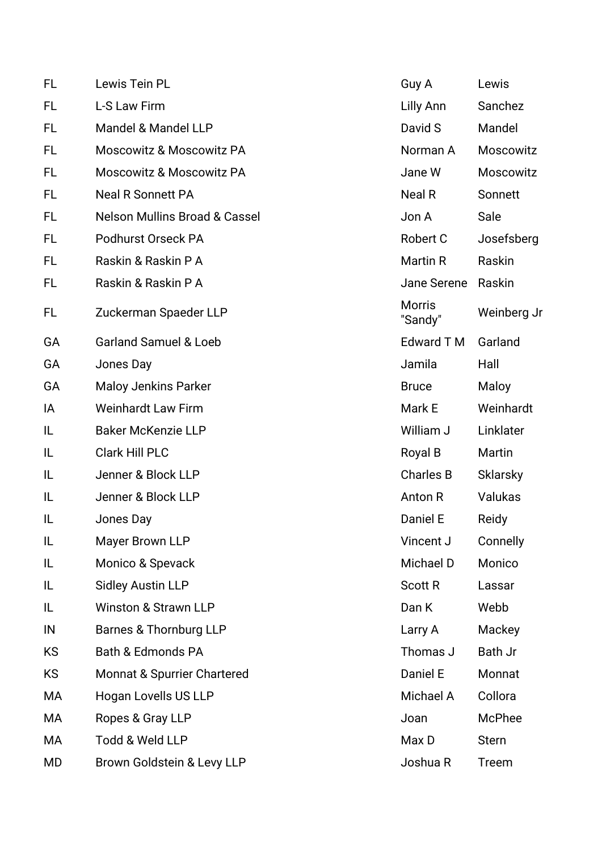| <b>FL</b> | Lewis Tein PL                            | Guy A                    | Lewis           |
|-----------|------------------------------------------|--------------------------|-----------------|
| FL        | L-S Law Firm                             | Lilly Ann                | Sanchez         |
| FL        | Mandel & Mandel LLP                      | David S                  | Mandel          |
| <b>FL</b> | <b>Moscowitz &amp; Moscowitz PA</b>      | Norman A                 | Moscowitz       |
| FL        | <b>Moscowitz &amp; Moscowitz PA</b>      | Jane W                   | Moscowitz       |
| FL        | <b>Neal R Sonnett PA</b>                 | Neal R                   | Sonnett         |
| FL        | <b>Nelson Mullins Broad &amp; Cassel</b> | Jon A                    | Sale            |
| FL.       | <b>Podhurst Orseck PA</b>                | Robert C                 | Josefsberg      |
| <b>FL</b> | Raskin & Raskin P A                      | Martin R                 | Raskin          |
| FL        | Raskin & Raskin P A                      | Jane Serene              | Raskin          |
| FL        | Zuckerman Spaeder LLP                    | <b>Morris</b><br>"Sandy" | Weinberg Jr     |
| GA        | <b>Garland Samuel &amp; Loeb</b>         | <b>Edward T M</b>        | Garland         |
| GA        | Jones Day                                | Jamila                   | Hall            |
| GA        | <b>Maloy Jenkins Parker</b>              | <b>Bruce</b>             | Maloy           |
| IA        | <b>Weinhardt Law Firm</b>                | Mark E                   | Weinhardt       |
| IL        | <b>Baker McKenzie LLP</b>                | William J                | Linklater       |
| IL        | <b>Clark Hill PLC</b>                    | Royal B                  | Martin          |
| IL        | Jenner & Block LLP                       | <b>Charles B</b>         | <b>Sklarsky</b> |
| IL        | Jenner & Block LLP                       | Anton R                  | Valukas         |
| IL        | Jones Day                                | Daniel E                 | Reidy           |
| IL        | Mayer Brown LLP                          | Vincent J                | Connelly        |
| IL        | Monico & Spevack                         | Michael D                | Monico          |
| IL        | <b>Sidley Austin LLP</b>                 | <b>Scott R</b>           | Lassar          |
| IL        | <b>Winston &amp; Strawn LLP</b>          | Dan K                    | Webb            |
| IN        | Barnes & Thornburg LLP                   | Larry A                  | Mackey          |
| KS        | Bath & Edmonds PA                        | Thomas J                 | Bath Jr         |
| <b>KS</b> | Monnat & Spurrier Chartered              | Daniel E                 | Monnat          |
| МA        | Hogan Lovells US LLP                     | Michael A                | Collora         |
| МA        | Ropes & Gray LLP                         | Joan                     | McPhee          |
| МA        | Todd & Weld LLP                          | Max D                    | <b>Stern</b>    |
| MD        | Brown Goldstein & Levy LLP               | Joshua R                 | Treem           |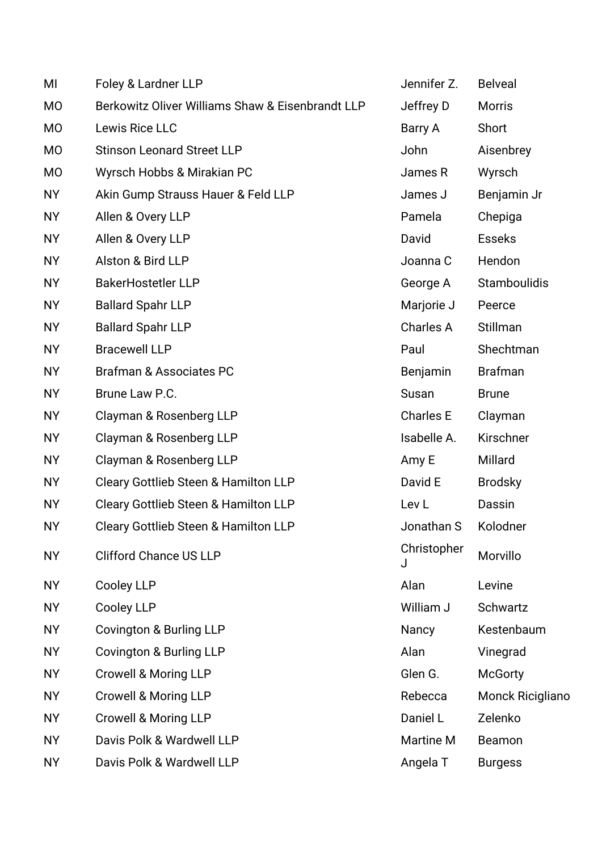| MI        | Foley & Lardner LLP                              | Jennifer Z.      | <b>Belveal</b>          |
|-----------|--------------------------------------------------|------------------|-------------------------|
| <b>MO</b> | Berkowitz Oliver Williams Shaw & Eisenbrandt LLP | Jeffrey D        | <b>Morris</b>           |
| <b>MO</b> | Lewis Rice LLC                                   | Barry A          | Short                   |
| <b>MO</b> | <b>Stinson Leonard Street LLP</b>                | John             | Aisenbrey               |
| <b>MO</b> | Wyrsch Hobbs & Mirakian PC                       | James R          | Wyrsch                  |
| <b>NY</b> | Akin Gump Strauss Hauer & Feld LLP               | James J          | Benjamin Jr             |
| <b>NY</b> | Allen & Overy LLP                                | Pamela           | Chepiga                 |
| <b>NY</b> | Allen & Overy LLP                                | David            | <b>Esseks</b>           |
| <b>NY</b> | Alston & Bird LLP                                | Joanna C         | Hendon                  |
| <b>NY</b> | <b>BakerHostetler LLP</b>                        | George A         | <b>Stamboulidis</b>     |
| <b>NY</b> | <b>Ballard Spahr LLP</b>                         | Marjorie J       | Peerce                  |
| <b>NY</b> | <b>Ballard Spahr LLP</b>                         | Charles A        | Stillman                |
| <b>NY</b> | <b>Bracewell LLP</b>                             | Paul             | Shechtman               |
| <b>NY</b> | <b>Brafman &amp; Associates PC</b>               | Benjamin         | <b>Brafman</b>          |
| <b>NY</b> | Brune Law P.C.                                   | Susan            | <b>Brune</b>            |
| <b>NY</b> | Clayman & Rosenberg LLP                          | <b>Charles E</b> | Clayman                 |
| <b>NY</b> | Clayman & Rosenberg LLP                          | Isabelle A.      | Kirschner               |
| <b>NY</b> | Clayman & Rosenberg LLP                          | Amy E            | Millard                 |
| <b>NY</b> | Cleary Gottlieb Steen & Hamilton LLP             | David E          | <b>Brodsky</b>          |
| <b>NY</b> | <b>Cleary Gottlieb Steen &amp; Hamilton LLP</b>  | Lev <sub>L</sub> | Dassin                  |
| <b>NY</b> | Cleary Gottlieb Steen & Hamilton LLP             | Jonathan S       | Kolodner                |
| <b>NY</b> | <b>Clifford Chance US LLP</b>                    | Christopher<br>J | Morvillo                |
| <b>NY</b> | Cooley LLP                                       | Alan             | Levine                  |
| <b>NY</b> | Cooley LLP                                       | William J        | Schwartz                |
| <b>NY</b> | Covington & Burling LLP                          | Nancy            | Kestenbaum              |
| <b>NY</b> | <b>Covington &amp; Burling LLP</b>               | Alan             | Vinegrad                |
| <b>NY</b> | <b>Crowell &amp; Moring LLP</b>                  | Glen G.          | <b>McGorty</b>          |
| <b>NY</b> | <b>Crowell &amp; Moring LLP</b>                  | Rebecca          | <b>Monck Ricigliano</b> |
| <b>NY</b> | <b>Crowell &amp; Moring LLP</b>                  | Daniel L         | Zelenko                 |
| <b>NY</b> | Davis Polk & Wardwell LLP                        | <b>Martine M</b> | Beamon                  |
| <b>NY</b> | Davis Polk & Wardwell LLP                        | Angela T         | <b>Burgess</b>          |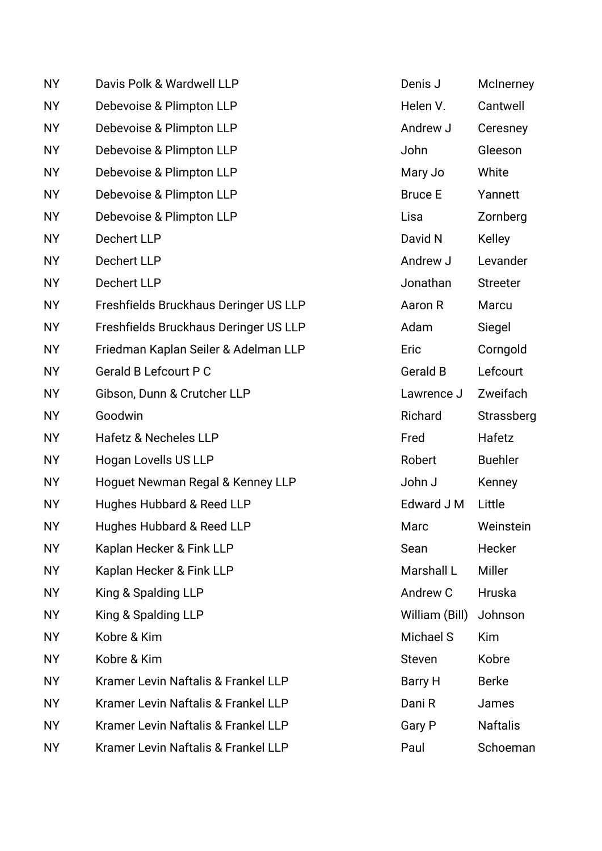| <b>NY</b> | Davis Polk & Wardwell LLP             | Denis J         | McInerney       |
|-----------|---------------------------------------|-----------------|-----------------|
| <b>NY</b> | Debevoise & Plimpton LLP              | Helen V.        | Cantwell        |
| <b>NY</b> | Debevoise & Plimpton LLP              | Andrew J        | Ceresney        |
| <b>NY</b> | Debevoise & Plimpton LLP              | John            | Gleeson         |
| <b>NY</b> | Debevoise & Plimpton LLP              | Mary Jo         | White           |
| <b>NY</b> | Debevoise & Plimpton LLP              | <b>Bruce E</b>  | Yannett         |
| <b>NY</b> | Debevoise & Plimpton LLP              | Lisa            | Zornberg        |
| <b>NY</b> | Dechert LLP                           | David N         | <b>Kelley</b>   |
| <b>NY</b> | Dechert LLP                           | Andrew J        | Levander        |
| <b>NY</b> | Dechert LLP                           | Jonathan        | <b>Streeter</b> |
| <b>NY</b> | Freshfields Bruckhaus Deringer US LLP | Aaron R         | Marcu           |
| <b>NY</b> | Freshfields Bruckhaus Deringer US LLP | Adam            | Siegel          |
| <b>NY</b> | Friedman Kaplan Seiler & Adelman LLP  | Eric            | Corngold        |
| <b>NY</b> | <b>Gerald B Lefcourt P C</b>          | <b>Gerald B</b> | Lefcourt        |
| <b>NY</b> | Gibson, Dunn & Crutcher LLP           | Lawrence J      | Zweifach        |
| <b>NY</b> | Goodwin                               | Richard         | Strassberg      |
| <b>NY</b> | <b>Hafetz &amp; Necheles LLP</b>      | Fred            | Hafetz          |
| <b>NY</b> | Hogan Lovells US LLP                  | Robert          | <b>Buehler</b>  |
| <b>NY</b> | Hoguet Newman Regal & Kenney LLP      | John J          | Kenney          |
| <b>NY</b> | Hughes Hubbard & Reed LLP             | Edward J M      | Little          |
| <b>NY</b> | Hughes Hubbard & Reed LLP             | Marc            | Weinstein       |
| <b>NY</b> | Kaplan Hecker & Fink LLP              | Sean            | Hecker          |
| <b>NY</b> | Kaplan Hecker & Fink LLP              | Marshall L      | <b>Miller</b>   |
| <b>NY</b> | King & Spalding LLP                   | Andrew C        | Hruska          |
| <b>NY</b> | King & Spalding LLP                   | William (Bill)  | Johnson         |
| <b>NY</b> | Kobre & Kim                           | Michael S       | Kim             |
| <b>NY</b> | Kobre & Kim                           | <b>Steven</b>   | Kobre           |
| <b>NY</b> | Kramer Levin Naftalis & Frankel LLP   | Barry H         | <b>Berke</b>    |
| <b>NY</b> | Kramer Levin Naftalis & Frankel LLP   | Dani R          | James           |
| <b>NY</b> | Kramer Levin Naftalis & Frankel LLP   | Gary P          | <b>Naftalis</b> |
| <b>NY</b> | Kramer Levin Naftalis & Frankel LLP   | Paul            | Schoeman        |

| Denis J                | McInerney       |
|------------------------|-----------------|
| Helen V.               | Cantwell        |
| Andrew J               | Ceresney        |
| John                   | Gleeson         |
| Mary Jo                | White           |
| Bruce E                | Yannett         |
| Lisa                   | Zornberg        |
| David N                | Kelley          |
| Andrew J               | Levander        |
| Jonathan               | <b>Streeter</b> |
| Aaron R                | Marcu           |
| Adam                   | Siegel          |
| Eric                   | Corngold        |
| Gerald B               | Lefcourt        |
| Lawrence J             | Zweifach        |
| Richard                | Strassberg      |
| Fred                   | Hafetz          |
| Robert                 | <b>Buehler</b>  |
| John J                 | Kenney          |
| Edward J M             | Little          |
| Marc                   | Weinstein       |
| Sean                   | Hecker          |
| Marshall L             | Miller          |
| Andrew C               | Hruska          |
| William (Bill) Johnson |                 |
| Michael S              | Kim             |
| Steven                 | Kobre           |
| Barry H                | <b>Berke</b>    |
| Dani R                 | James           |
| Gary P                 | <b>Naftalis</b> |
| Paul                   | Schoeman        |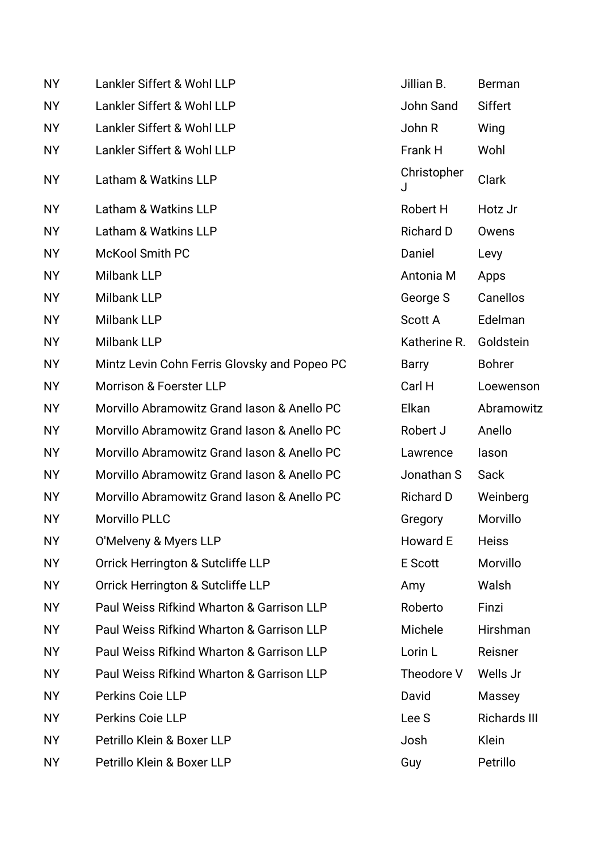| <b>NY</b> | Lankler Siffert & Wohl LLP                   | Jillian B.       | <b>Berman</b>       |
|-----------|----------------------------------------------|------------------|---------------------|
| <b>NY</b> | Lankler Siffert & Wohl LLP                   | John Sand        | <b>Siffert</b>      |
| <b>NY</b> | Lankler Siffert & Wohl LLP                   | John R           | Wing                |
| <b>NY</b> | Lankler Siffert & Wohl LLP                   | Frank H          | Wohl                |
| <b>NY</b> | Latham & Watkins LLP                         | Christopher<br>J | Clark               |
| <b>NY</b> | Latham & Watkins LLP                         | Robert H         | Hotz Jr             |
| <b>NY</b> | Latham & Watkins LLP                         | <b>Richard D</b> | Owens               |
| <b>NY</b> | <b>McKool Smith PC</b>                       | Daniel           | Levy                |
| <b>NY</b> | <b>Milbank LLP</b>                           | Antonia M        | Apps                |
| <b>NY</b> | <b>Milbank LLP</b>                           | George S         | Canellos            |
| <b>NY</b> | <b>Milbank LLP</b>                           | <b>Scott A</b>   | Edelman             |
| <b>NY</b> | <b>Milbank LLP</b>                           | Katherine R.     | Goldstein           |
| <b>NY</b> | Mintz Levin Cohn Ferris Glovsky and Popeo PC | Barry            | <b>Bohrer</b>       |
| <b>NY</b> | <b>Morrison &amp; Foerster LLP</b>           | Carl H           | Loewenson           |
| <b>NY</b> | Morvillo Abramowitz Grand Iason & Anello PC  | Elkan            | Abramowitz          |
| <b>NY</b> | Morvillo Abramowitz Grand Iason & Anello PC  | Robert J         | Anello              |
| <b>NY</b> | Morvillo Abramowitz Grand Iason & Anello PC  | Lawrence         | lason               |
| <b>NY</b> | Morvillo Abramowitz Grand Iason & Anello PC  | Jonathan S       | Sack                |
| <b>NY</b> | Morvillo Abramowitz Grand Iason & Anello PC  | <b>Richard D</b> | Weinberg            |
| <b>NY</b> | <b>Morvillo PLLC</b>                         | Gregory          | Morvillo            |
| <b>NY</b> | O'Melveny & Myers LLP                        | Howard E         | <b>Heiss</b>        |
| <b>NY</b> | Orrick Herrington & Sutcliffe LLP            | <b>E</b> Scott   | Morvillo            |
| <b>NY</b> | Orrick Herrington & Sutcliffe LLP            | Amy              | Walsh               |
| <b>NY</b> | Paul Weiss Rifkind Wharton & Garrison LLP    | Roberto          | Finzi               |
| <b>NY</b> | Paul Weiss Rifkind Wharton & Garrison LLP    | Michele          | Hirshman            |
| <b>NY</b> | Paul Weiss Rifkind Wharton & Garrison LLP    | Lorin L          | Reisner             |
| <b>NY</b> | Paul Weiss Rifkind Wharton & Garrison LLP    | Theodore V       | Wells Jr            |
| <b>NY</b> | Perkins Coie LLP                             | David            | Massey              |
| <b>NY</b> | Perkins Coie LLP                             | Lee S            | <b>Richards III</b> |
| <b>NY</b> | Petrillo Klein & Boxer LLP                   | Josh             | Klein               |
| <b>NY</b> | Petrillo Klein & Boxer LLP                   | Guy              | Petrillo            |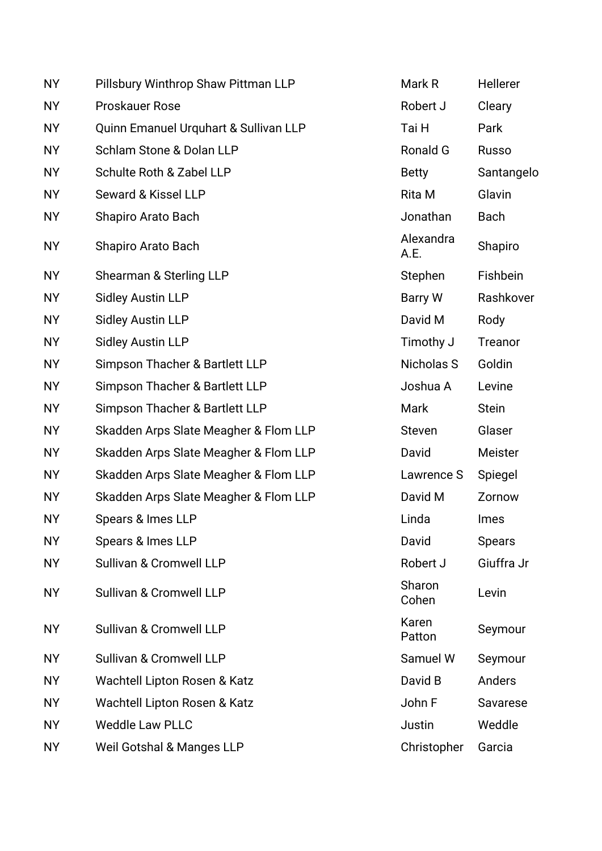| <b>NY</b> | Pillsbury Winthrop Shaw Pittman LLP   | Mark R            | Hellerer      |
|-----------|---------------------------------------|-------------------|---------------|
| <b>NY</b> | <b>Proskauer Rose</b>                 | Robert J          | Cleary        |
| <b>NY</b> | Quinn Emanuel Urquhart & Sullivan LLP | Tai H             | Park          |
| <b>NY</b> | Schlam Stone & Dolan LLP              | Ronald G          | <b>Russo</b>  |
| <b>NY</b> | Schulte Roth & Zabel LLP              | <b>Betty</b>      | Santangelo    |
| <b>NY</b> | Seward & Kissel LLP                   | Rita M            | Glavin        |
| <b>NY</b> | Shapiro Arato Bach                    | Jonathan          | <b>Bach</b>   |
| <b>NY</b> | Shapiro Arato Bach                    | Alexandra<br>A.E. | Shapiro       |
| <b>NY</b> | Shearman & Sterling LLP               | Stephen           | Fishbein      |
| <b>NY</b> | <b>Sidley Austin LLP</b>              | <b>Barry W</b>    | Rashkover     |
| <b>NY</b> | <b>Sidley Austin LLP</b>              | David M           | Rody          |
| <b>NY</b> | <b>Sidley Austin LLP</b>              | Timothy J         | Treanor       |
| <b>NY</b> | Simpson Thacher & Bartlett LLP        | Nicholas S        | Goldin        |
| <b>NY</b> | Simpson Thacher & Bartlett LLP        | Joshua A          | Levine        |
| <b>NY</b> | Simpson Thacher & Bartlett LLP        | Mark              | <b>Stein</b>  |
| <b>NY</b> | Skadden Arps Slate Meagher & Flom LLP | <b>Steven</b>     | Glaser        |
| <b>NY</b> | Skadden Arps Slate Meagher & Flom LLP | David             | Meister       |
| <b>NY</b> | Skadden Arps Slate Meagher & Flom LLP | Lawrence S        | Spiegel       |
| <b>NY</b> | Skadden Arps Slate Meagher & Flom LLP | David M           | Zornow        |
| <b>NY</b> | Spears & Imes LLP                     | Linda             | <b>Imes</b>   |
| <b>NY</b> | Spears & Imes LLP                     | David             | <b>Spears</b> |
| <b>NY</b> | Sullivan & Cromwell LLP               | Robert J          | Giuffra Jr    |
| <b>NY</b> | Sullivan & Cromwell LLP               | Sharon<br>Cohen   | Levin         |
| <b>NY</b> | Sullivan & Cromwell LLP               | Karen<br>Patton   | Seymour       |
| <b>NY</b> | Sullivan & Cromwell LLP               | Samuel W          | Seymour       |
| <b>NY</b> | Wachtell Lipton Rosen & Katz          | David B           | Anders        |
| <b>NY</b> | Wachtell Lipton Rosen & Katz          | John F            | Savarese      |
| <b>NY</b> | <b>Weddle Law PLLC</b>                | Justin            | Weddle        |
| <b>NY</b> | <b>Weil Gotshal &amp; Manges LLP</b>  | Christopher       | Garcia        |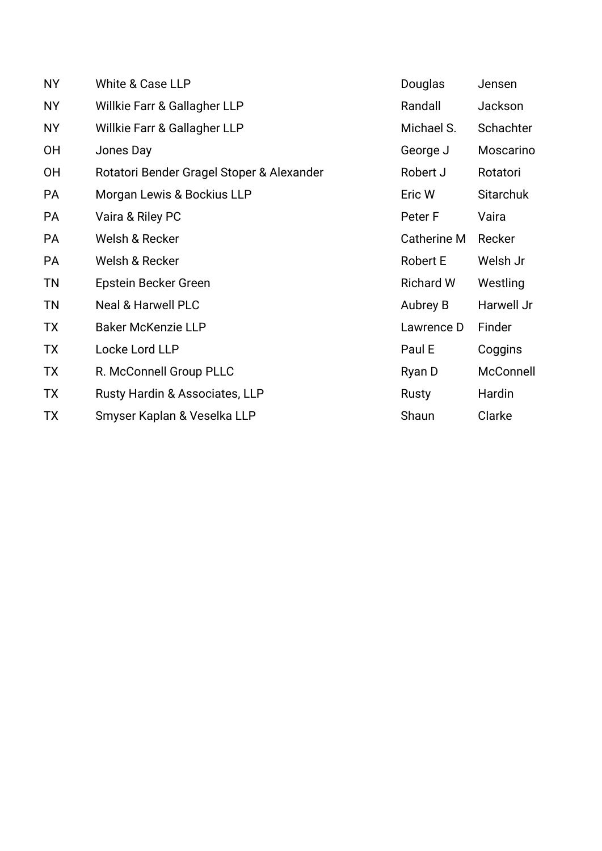| <b>NY</b> | White & Case LLP                          | Douglas            | Jensen           |
|-----------|-------------------------------------------|--------------------|------------------|
| NY        | Willkie Farr & Gallagher LLP              | Randall            | Jackson          |
| <b>NY</b> | Willkie Farr & Gallagher LLP              | Michael S.         | Schachter        |
| 0H        | Jones Day                                 | George J           | Moscarino        |
| <b>OH</b> | Rotatori Bender Gragel Stoper & Alexander | Robert J           | Rotatori         |
| <b>PA</b> | Morgan Lewis & Bockius LLP                | Eric W             | <b>Sitarchuk</b> |
| PA        | Vaira & Riley PC                          | Peter F            | Vaira            |
| PA        | Welsh & Recker                            | <b>Catherine M</b> | Recker           |
| PA        | Welsh & Recker                            | <b>Robert E</b>    | Welsh Jr         |
| <b>TN</b> | Epstein Becker Green                      | <b>Richard W</b>   | Westling         |
| <b>TN</b> | <b>Neal &amp; Harwell PLC</b>             | Aubrey B           | Harwell Jr       |
| <b>TX</b> | <b>Baker McKenzie LLP</b>                 | Lawrence D         | Finder           |
| <b>TX</b> | Locke Lord LLP                            | Paul E             | Coggins          |
| TX        | R. McConnell Group PLLC                   | Ryan D             | McConnell        |
| TX        | Rusty Hardin & Associates, LLP            | Rusty              | Hardin           |
| <b>TX</b> | Smyser Kaplan & Veselka LLP               | Shaun              | Clarke           |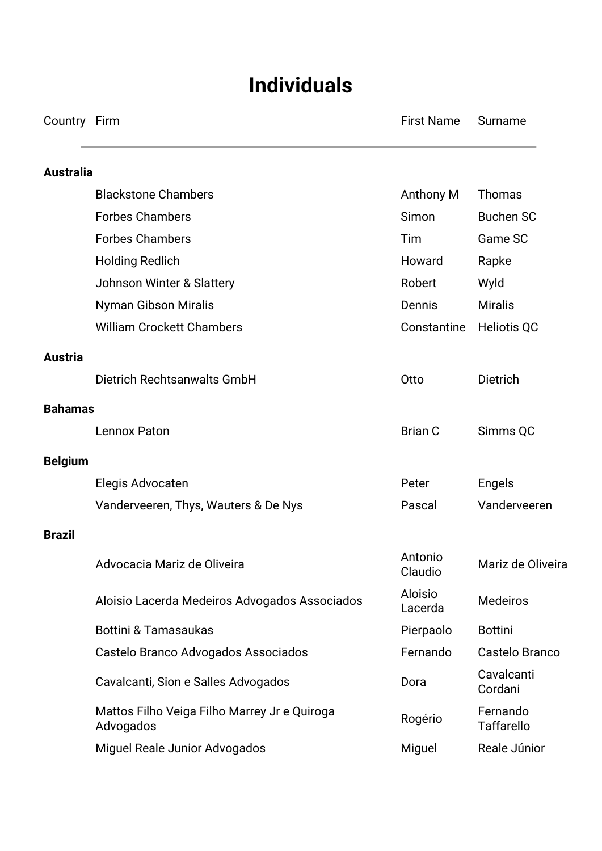# **Individuals**

Country Firm **Firm Country Firm Country Firm** First Name Surname

| <b>Australia</b> |                                                           |                           |                               |
|------------------|-----------------------------------------------------------|---------------------------|-------------------------------|
|                  | <b>Blackstone Chambers</b>                                | Anthony M                 | <b>Thomas</b>                 |
|                  | <b>Forbes Chambers</b>                                    | Simon                     | <b>Buchen SC</b>              |
|                  | <b>Forbes Chambers</b>                                    | Tim                       | Game SC                       |
|                  | <b>Holding Redlich</b>                                    | Howard                    | Rapke                         |
|                  | Johnson Winter & Slattery                                 | Robert                    | Wyld                          |
|                  | Nyman Gibson Miralis                                      | Dennis                    | <b>Miralis</b>                |
|                  | <b>William Crockett Chambers</b>                          | Constantine               | <b>Heliotis QC</b>            |
| <b>Austria</b>   |                                                           |                           |                               |
|                  | Dietrich Rechtsanwalts GmbH                               | Otto                      | <b>Dietrich</b>               |
| <b>Bahamas</b>   |                                                           |                           |                               |
|                  | Lennox Paton                                              | <b>Brian C</b>            | Simms QC                      |
| <b>Belgium</b>   |                                                           |                           |                               |
|                  | Elegis Advocaten                                          | Peter                     | <b>Engels</b>                 |
|                  | Vanderveeren, Thys, Wauters & De Nys                      | Pascal                    | Vanderveeren                  |
| <b>Brazil</b>    |                                                           |                           |                               |
|                  | Advocacia Mariz de Oliveira                               | Antonio<br>Claudio        | Mariz de Oliveira             |
|                  | Aloisio Lacerda Medeiros Advogados Associados             | <b>Aloisio</b><br>Lacerda | <b>Medeiros</b>               |
|                  | <b>Bottini &amp; Tamasaukas</b>                           | Pierpaolo                 | <b>Bottini</b>                |
|                  | Castelo Branco Advogados Associados                       | Fernando                  | Castelo Branco                |
|                  | Cavalcanti, Sion e Salles Advogados                       | Dora                      | Cavalcanti<br>Cordani         |
|                  | Mattos Filho Veiga Filho Marrey Jr e Quiroga<br>Advogados | Rogério                   | Fernando<br><b>Taffarello</b> |
|                  | Miguel Reale Junior Advogados                             | Miguel                    | Reale Júnior                  |
|                  |                                                           |                           |                               |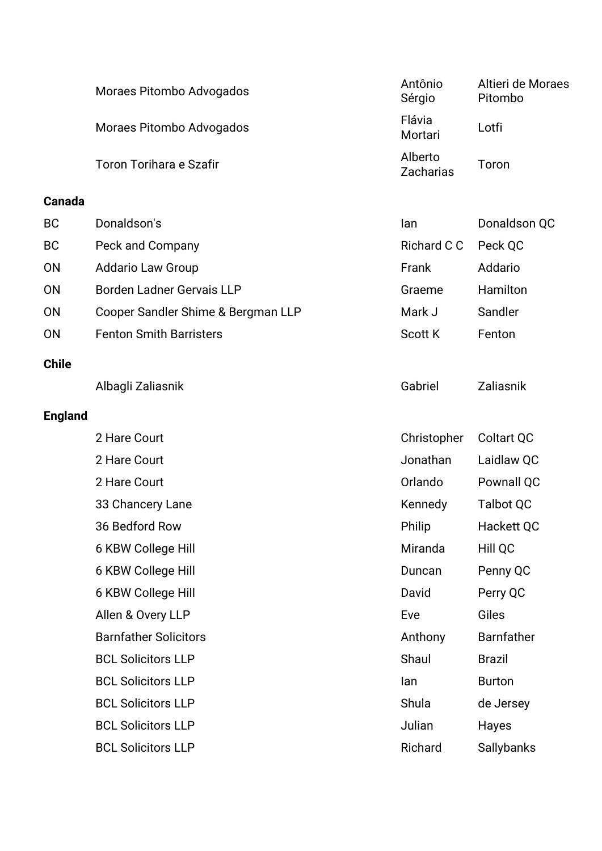| Moraes Pitombo Advogados | Antônio<br>Sérgio    | Altieri de Moraes<br>Pitombo |
|--------------------------|----------------------|------------------------------|
| Moraes Pitombo Advogados | Flávia<br>Mortari    | Lotfi                        |
| Toron Torihara e Szafir  | Alberto<br>Zacharias | Toron                        |

#### **Canada**

| <b>BC</b> | Donaldson's                        | lan            | Donaldson QC |
|-----------|------------------------------------|----------------|--------------|
| <b>BC</b> | Peck and Company                   | Richard C C    | Peck QC      |
| <b>ON</b> | <b>Addario Law Group</b>           | Frank          | Addario      |
| <b>ON</b> | Borden Ladner Gervais LLP          | Graeme         | Hamilton     |
| <b>ON</b> | Cooper Sandler Shime & Bergman LLP | Mark J         | Sandler      |
| <b>ON</b> | <b>Fenton Smith Barristers</b>     | <b>Scott K</b> | Fenton       |
|           |                                    |                |              |

### **Chile**

Albagli Zaliasnik Gabriel Zaliasnik

## **England**

| 2 Hare Court                 | Christopher | Coltart QC        |
|------------------------------|-------------|-------------------|
| 2 Hare Court                 | Jonathan    | Laidlaw QC        |
| 2 Hare Court                 | Orlando     | Pownall QC        |
| 33 Chancery Lane             | Kennedy     | Talbot QC         |
| 36 Bedford Row               | Philip      | Hackett QC        |
| 6 KBW College Hill           | Miranda     | Hill QC           |
| 6 KBW College Hill           | Duncan      | Penny QC          |
| 6 KBW College Hill           | David       | Perry QC          |
| Allen & Overy LLP            | Eve         | Giles             |
| <b>Barnfather Solicitors</b> | Anthony     | <b>Barnfather</b> |
| <b>BCL Solicitors LLP</b>    | Shaul       | <b>Brazil</b>     |
| <b>BCL Solicitors LLP</b>    | lan         | <b>Burton</b>     |
| <b>BCL Solicitors LLP</b>    | Shula       | de Jersey         |
| <b>BCL Solicitors LLP</b>    | Julian      | Hayes             |
| <b>BCL Solicitors LLP</b>    | Richard     | <b>Sallybanks</b> |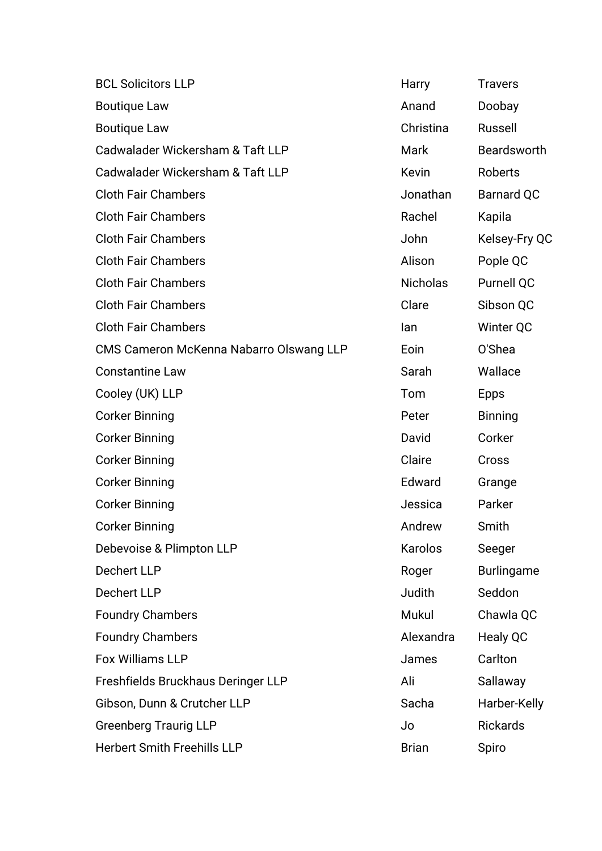| <b>BCL Solicitors LLP</b>               | Harry           | <b>Travers</b>    |
|-----------------------------------------|-----------------|-------------------|
| <b>Boutique Law</b>                     | Anand           | Doobay            |
| <b>Boutique Law</b>                     | Christina       | <b>Russell</b>    |
| Cadwalader Wickersham & Taft LLP        | Mark            | Beardsworth       |
| Cadwalader Wickersham & Taft LLP        | Kevin           | Roberts           |
| <b>Cloth Fair Chambers</b>              | Jonathan        | <b>Barnard QC</b> |
| <b>Cloth Fair Chambers</b>              | Rachel          | Kapila            |
| <b>Cloth Fair Chambers</b>              | John            | Kelsey-Fry QC     |
| <b>Cloth Fair Chambers</b>              | Alison          | Pople QC          |
| <b>Cloth Fair Chambers</b>              | <b>Nicholas</b> | Purnell QC        |
| <b>Cloth Fair Chambers</b>              | Clare           | Sibson QC         |
| <b>Cloth Fair Chambers</b>              | lan             | Winter QC         |
| CMS Cameron McKenna Nabarro Olswang LLP | Eoin            | O'Shea            |
| <b>Constantine Law</b>                  | Sarah           | Wallace           |
| Cooley (UK) LLP                         | Tom             | <b>Epps</b>       |
| <b>Corker Binning</b>                   | Peter           | <b>Binning</b>    |
| <b>Corker Binning</b>                   | David           | Corker            |
| <b>Corker Binning</b>                   | Claire          | Cross             |
| <b>Corker Binning</b>                   | Edward          | Grange            |
| <b>Corker Binning</b>                   | Jessica         | Parker            |
| <b>Corker Binning</b>                   | Andrew          | Smith             |
| Debevoise & Plimpton LLP                | Karolos         | Seeger            |
| <b>Dechert LLP</b>                      | Roger           | <b>Burlingame</b> |
| <b>Dechert LLP</b>                      | Judith          | Seddon            |
| <b>Foundry Chambers</b>                 | Mukul           | Chawla QC         |
| <b>Foundry Chambers</b>                 | Alexandra       | Healy QC          |
| <b>Fox Williams LLP</b>                 | James           | Carlton           |
| Freshfields Bruckhaus Deringer LLP      | Ali             | Sallaway          |
| Gibson, Dunn & Crutcher LLP             | Sacha           | Harber-Kelly      |
| <b>Greenberg Traurig LLP</b>            | Jo              | <b>Rickards</b>   |
| <b>Herbert Smith Freehills LLP</b>      | <b>Brian</b>    | Spiro             |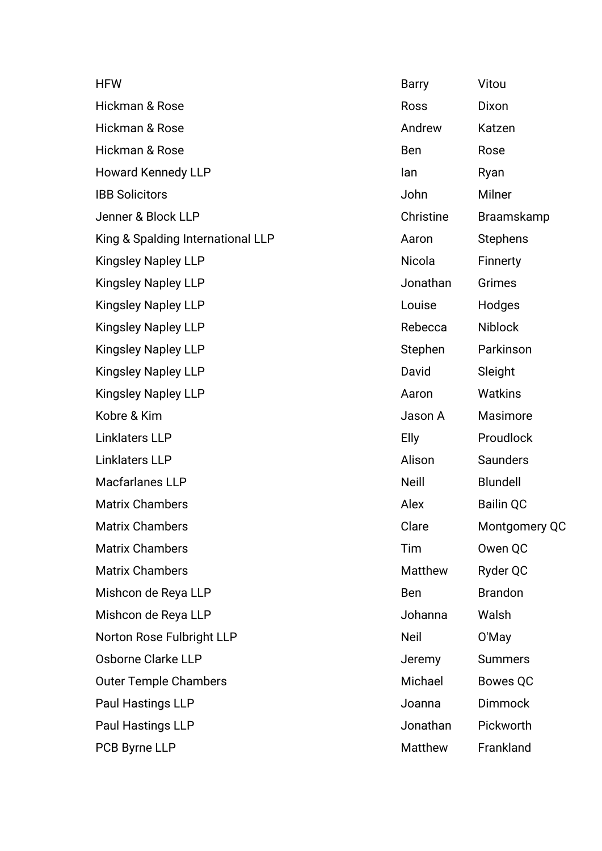| <b>HFW</b>                        | <b>Barry</b> | Vitou             |
|-----------------------------------|--------------|-------------------|
| Hickman & Rose                    | Ross         | Dixon             |
| Hickman & Rose                    | Andrew       | Katzen            |
| Hickman & Rose                    | Ben          | Rose              |
| <b>Howard Kennedy LLP</b>         | lan          | Ryan              |
| <b>IBB Solicitors</b>             | John         | Milner            |
| Jenner & Block LLP                | Christine    | <b>Braamskamp</b> |
| King & Spalding International LLP | Aaron        | <b>Stephens</b>   |
| <b>Kingsley Napley LLP</b>        | Nicola       | Finnerty          |
| <b>Kingsley Napley LLP</b>        | Jonathan     | <b>Grimes</b>     |
| <b>Kingsley Napley LLP</b>        | Louise       | Hodges            |
| <b>Kingsley Napley LLP</b>        | Rebecca      | <b>Niblock</b>    |
| <b>Kingsley Napley LLP</b>        | Stephen      | Parkinson         |
| <b>Kingsley Napley LLP</b>        | David        | Sleight           |
| <b>Kingsley Napley LLP</b>        | Aaron        | <b>Watkins</b>    |
| Kobre & Kim                       | Jason A      | Masimore          |
| <b>Linklaters LLP</b>             | <b>Elly</b>  | Proudlock         |
| <b>Linklaters LLP</b>             | Alison       | Saunders          |
| Macfarlanes LLP                   | <b>Neill</b> | <b>Blundell</b>   |
| <b>Matrix Chambers</b>            | Alex         | <b>Bailin QC</b>  |
| <b>Matrix Chambers</b>            | Clare        | Montgomery QC     |
| <b>Matrix Chambers</b>            | Tim          | Owen QC           |
| <b>Matrix Chambers</b>            | Matthew      | Ryder QC          |
| Mishcon de Reya LLP               | Ben          | <b>Brandon</b>    |
| Mishcon de Reya LLP               | Johanna      | Walsh             |
| Norton Rose Fulbright LLP         | Neil         | O'May             |
| Osborne Clarke LLP                | Jeremy       | <b>Summers</b>    |
| <b>Outer Temple Chambers</b>      | Michael      | <b>Bowes QC</b>   |
| Paul Hastings LLP                 | Joanna       | <b>Dimmock</b>    |
| Paul Hastings LLP                 | Jonathan     | Pickworth         |
| PCB Byrne LLP                     | Matthew      | Frankland         |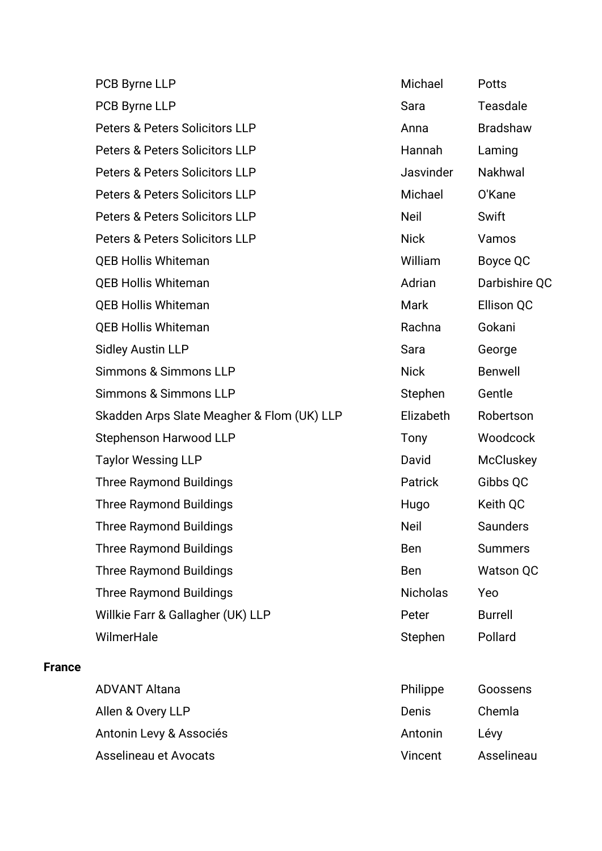| PCB Byrne LLP                              | Michael         | <b>Potts</b>     |
|--------------------------------------------|-----------------|------------------|
| PCB Byrne LLP                              | Sara            | <b>Teasdale</b>  |
| Peters & Peters Solicitors LLP             | Anna            | <b>Bradshaw</b>  |
| <b>Peters &amp; Peters Solicitors LLP</b>  | Hannah          | Laming           |
| <b>Peters &amp; Peters Solicitors LLP</b>  | Jasvinder       | Nakhwal          |
| <b>Peters &amp; Peters Solicitors LLP</b>  | Michael         | O'Kane           |
| <b>Peters &amp; Peters Solicitors LLP</b>  | <b>Neil</b>     | Swift            |
| Peters & Peters Solicitors LLP             | <b>Nick</b>     | Vamos            |
| <b>QEB Hollis Whiteman</b>                 | William         | Boyce QC         |
| <b>QEB Hollis Whiteman</b>                 | Adrian          | Darbishire QC    |
| <b>QEB Hollis Whiteman</b>                 | Mark            | Ellison QC       |
| <b>QEB Hollis Whiteman</b>                 | Rachna          | Gokani           |
| <b>Sidley Austin LLP</b>                   | Sara            | George           |
| <b>Simmons &amp; Simmons LLP</b>           | <b>Nick</b>     | <b>Benwell</b>   |
| <b>Simmons &amp; Simmons LLP</b>           | Stephen         | Gentle           |
| Skadden Arps Slate Meagher & Flom (UK) LLP | Elizabeth       | Robertson        |
| Stephenson Harwood LLP                     | Tony            | Woodcock         |
| <b>Taylor Wessing LLP</b>                  | David           | <b>McCluskey</b> |
| <b>Three Raymond Buildings</b>             | Patrick         | Gibbs QC         |
| <b>Three Raymond Buildings</b>             | Hugo            | Keith QC         |
| Three Raymond Buildings                    | <b>Neil</b>     | Saunders         |
| <b>Three Raymond Buildings</b>             | Ben             | <b>Summers</b>   |
| <b>Three Raymond Buildings</b>             | <b>Ben</b>      | <b>Watson QC</b> |
| <b>Three Raymond Buildings</b>             | <b>Nicholas</b> | Yeo              |
| Willkie Farr & Gallagher (UK) LLP          | Peter           | <b>Burrell</b>   |
| WilmerHale                                 | Stephen         | Pollard          |
|                                            |                 |                  |
| <b>ADVANT Altana</b>                       | Philippe        | Goossens         |
| Allen & Overy LLP                          | Denis           | Chemla           |
| Antonin Levy & Associés                    | Antonin         | Lévy             |

Asselineau et Avocats von Europe and Asselineau von Asselineau

**France**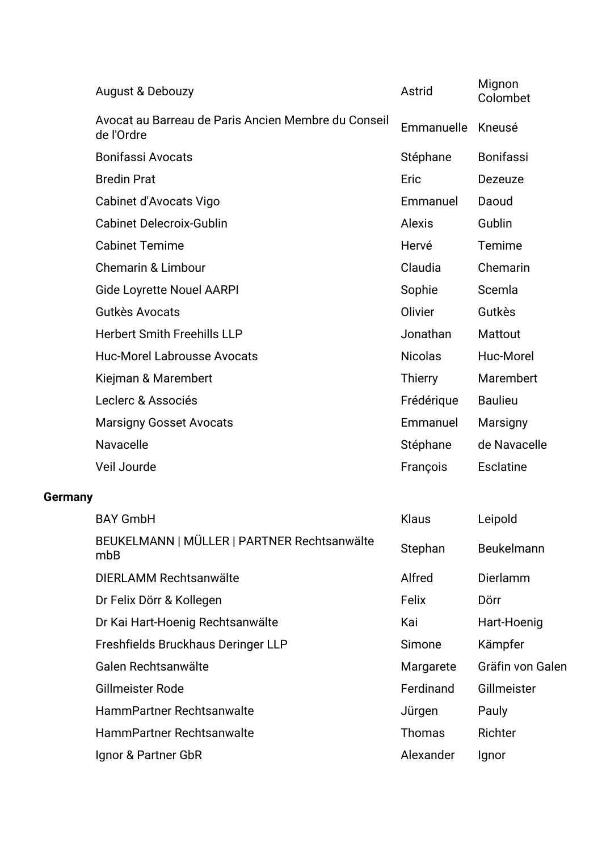|                | <b>August &amp; Debouzy</b>                                       | Astrid         | Mignon<br>Colombet |
|----------------|-------------------------------------------------------------------|----------------|--------------------|
|                | Avocat au Barreau de Paris Ancien Membre du Conseil<br>de l'Ordre | Emmanuelle     | Kneusé             |
|                | <b>Bonifassi Avocats</b>                                          | Stéphane       | <b>Bonifassi</b>   |
|                | <b>Bredin Prat</b>                                                | Eric           | Dezeuze            |
|                | Cabinet d'Avocats Vigo                                            | Emmanuel       | Daoud              |
|                | <b>Cabinet Delecroix-Gublin</b>                                   | <b>Alexis</b>  | Gublin             |
|                | <b>Cabinet Temime</b>                                             | Hervé          | Temime             |
|                | <b>Chemarin &amp; Limbour</b>                                     | Claudia        | Chemarin           |
|                | <b>Gide Loyrette Nouel AARPI</b>                                  | Sophie         | Scemla             |
|                | Gutkès Avocats                                                    | Olivier        | Gutkès             |
|                | <b>Herbert Smith Freehills LLP</b>                                | Jonathan       | Mattout            |
|                | <b>Huc-Morel Labrousse Avocats</b>                                | <b>Nicolas</b> | Huc-Morel          |
|                | Kiejman & Marembert                                               | <b>Thierry</b> | Marembert          |
|                | Leclerc & Associés                                                | Frédérique     | <b>Baulieu</b>     |
|                | <b>Marsigny Gosset Avocats</b>                                    | Emmanuel       | Marsigny           |
|                | Navacelle                                                         | Stéphane       | de Navacelle       |
|                | Veil Jourde                                                       | François       | <b>Esclatine</b>   |
| <b>Germany</b> |                                                                   |                |                    |
|                | <b>BAY GmbH</b>                                                   | Klaus          | Leipold            |
|                | BEUKELMANN   MÜLLER   PARTNER Rechtsanwälte<br>mbB                | Stephan        | Beukelmann         |
|                | DIERLAMM Rechtsanwälte                                            | Alfred         | Dierlamm           |
|                | Dr Felix Dörr & Kollegen                                          | Felix          | Dörr               |
|                | Dr Kai Hart-Hoenig Rechtsanwälte                                  | Kai            | Hart-Hoenig        |
|                | Freshfields Bruckhaus Deringer LLP                                | Simone         | Kämpfer            |
|                | Galen Rechtsanwälte                                               | Margarete      | Gräfin von Galen   |
|                | Gillmeister Rode                                                  | Ferdinand      | Gillmeister        |
|                | <b>HammPartner Rechtsanwalte</b>                                  | Jürgen         | Pauly              |
|                | HammPartner Rechtsanwalte                                         | <b>Thomas</b>  | Richter            |
|                | Ignor & Partner GbR                                               | Alexander      | Ignor              |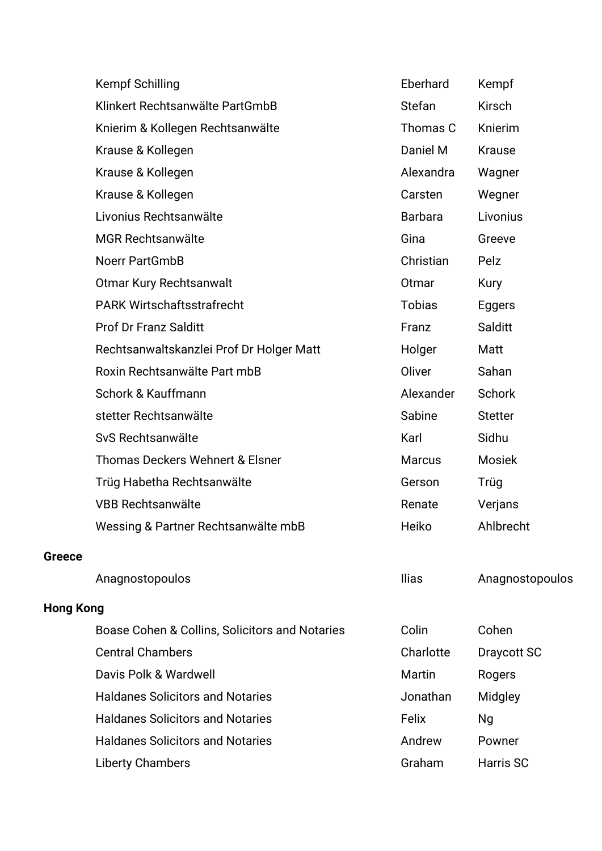|                  | <b>Kempf Schilling</b>                         | Eberhard       | Kempf           |
|------------------|------------------------------------------------|----------------|-----------------|
|                  | Klinkert Rechtsanwälte PartGmbB                | <b>Stefan</b>  | <b>Kirsch</b>   |
|                  | Knierim & Kollegen Rechtsanwälte               | Thomas C       | Knierim         |
|                  | Krause & Kollegen                              | Daniel M       | <b>Krause</b>   |
|                  | Krause & Kollegen                              | Alexandra      | Wagner          |
|                  | Krause & Kollegen                              | Carsten        | Wegner          |
|                  | Livonius Rechtsanwälte                         | <b>Barbara</b> | Livonius        |
|                  | <b>MGR Rechtsanwälte</b>                       | Gina           | Greeve          |
|                  | Noerr PartGmbB                                 | Christian      | Pelz            |
|                  | <b>Otmar Kury Rechtsanwalt</b>                 | Otmar          | <b>Kury</b>     |
|                  | <b>PARK Wirtschaftsstrafrecht</b>              | <b>Tobias</b>  | Eggers          |
|                  | <b>Prof Dr Franz Salditt</b>                   | Franz          | Salditt         |
|                  | Rechtsanwaltskanzlei Prof Dr Holger Matt       | Holger         | Matt            |
|                  | Roxin Rechtsanwälte Part mbB                   | Oliver         | Sahan           |
|                  | Schork & Kauffmann                             | Alexander      | Schork          |
|                  | stetter Rechtsanwälte                          | Sabine         | <b>Stetter</b>  |
|                  | SvS Rechtsanwälte                              | Karl           | Sidhu           |
|                  | <b>Thomas Deckers Wehnert &amp; Elsner</b>     | <b>Marcus</b>  | <b>Mosiek</b>   |
|                  | Trüg Habetha Rechtsanwälte                     | Gerson         | Trüg            |
|                  | <b>VBB Rechtsanwälte</b>                       | Renate         | Verjans         |
|                  | Wessing & Partner Rechtsanwälte mbB            | Heiko          | Ahlbrecht       |
| <b>Greece</b>    |                                                |                |                 |
|                  | Anagnostopoulos                                | <b>Ilias</b>   | Anagnostopoulos |
| <b>Hong Kong</b> |                                                |                |                 |
|                  | Boase Cohen & Collins, Solicitors and Notaries | Colin          | Cohen           |
|                  | <b>Central Chambers</b>                        | Charlotte      | Draycott SC     |
|                  | Davis Polk & Wardwell                          | Martin         | Rogers          |
|                  | <b>Haldanes Solicitors and Notaries</b>        | Jonathan       | Midgley         |
|                  | <b>Haldanes Solicitors and Notaries</b>        | Felix          | Ng              |
|                  | <b>Haldanes Solicitors and Notaries</b>        | Andrew         | Powner          |
|                  | <b>Liberty Chambers</b>                        | Graham         | Harris SC       |
|                  |                                                |                |                 |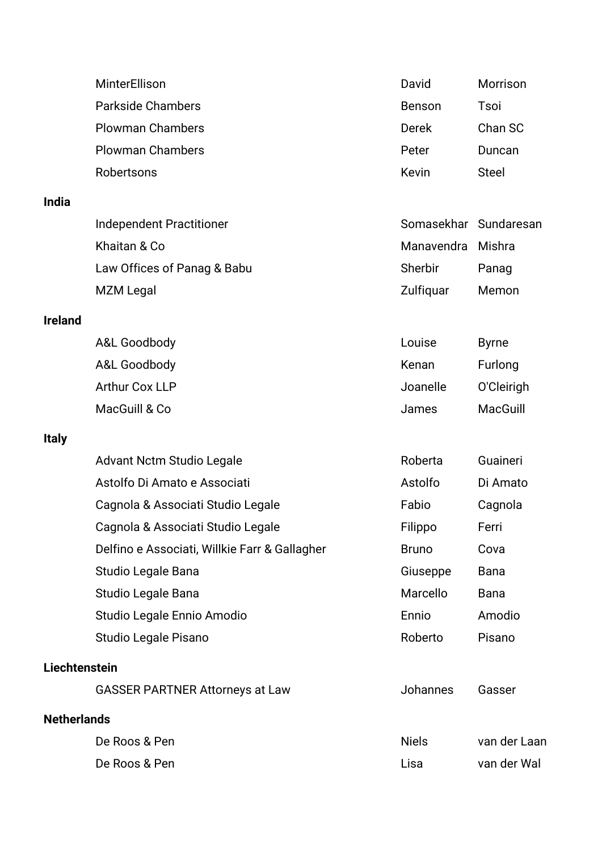|                      | <b>MinterEllison</b>                          | David                 | Morrison     |
|----------------------|-----------------------------------------------|-----------------------|--------------|
|                      | <b>Parkside Chambers</b>                      | <b>Benson</b>         | Tsoi         |
|                      | <b>Plowman Chambers</b>                       | <b>Derek</b>          | Chan SC      |
|                      | <b>Plowman Chambers</b>                       | Peter                 | Duncan       |
|                      | Robertsons                                    | Kevin                 | <b>Steel</b> |
| <b>India</b>         |                                               |                       |              |
|                      | <b>Independent Practitioner</b>               | Somasekhar Sundaresan |              |
|                      | Khaitan & Co                                  | Manavendra            | Mishra       |
|                      | Law Offices of Panag & Babu                   | Sherbir               | Panag        |
|                      | <b>MZM Legal</b>                              | Zulfiquar             | Memon        |
| <b>Ireland</b>       |                                               |                       |              |
|                      | A&L Goodbody                                  | Louise                | <b>Byrne</b> |
|                      | A&L Goodbody                                  | Kenan                 | Furlong      |
|                      | <b>Arthur Cox LLP</b>                         | Joanelle              | O'Cleirigh   |
|                      | MacGuill & Co                                 | James                 | MacGuill     |
| <b>Italy</b>         |                                               |                       |              |
|                      | <b>Advant Nctm Studio Legale</b>              | Roberta               | Guaineri     |
|                      | Astolfo Di Amato e Associati                  | Astolfo               | Di Amato     |
|                      | Cagnola & Associati Studio Legale             | Fabio                 | Cagnola      |
|                      | Cagnola & Associati Studio Legale             | Filippo               | Ferri        |
|                      | Delfino e Associati, Willkie Farr & Gallagher | <b>Bruno</b>          | Cova         |
|                      | Studio Legale Bana                            | Giuseppe              | <b>Bana</b>  |
|                      | Studio Legale Bana                            | Marcello              | <b>Bana</b>  |
|                      | Studio Legale Ennio Amodio                    | Ennio                 | Amodio       |
|                      | Studio Legale Pisano                          | Roberto               | Pisano       |
| <b>Liechtenstein</b> |                                               |                       |              |
|                      | <b>GASSER PARTNER Attorneys at Law</b>        | <b>Johannes</b>       | Gasser       |
| <b>Netherlands</b>   |                                               |                       |              |
|                      | De Roos & Pen                                 | <b>Niels</b>          | van der Laan |
|                      | De Roos & Pen                                 | Lisa                  | van der Wal  |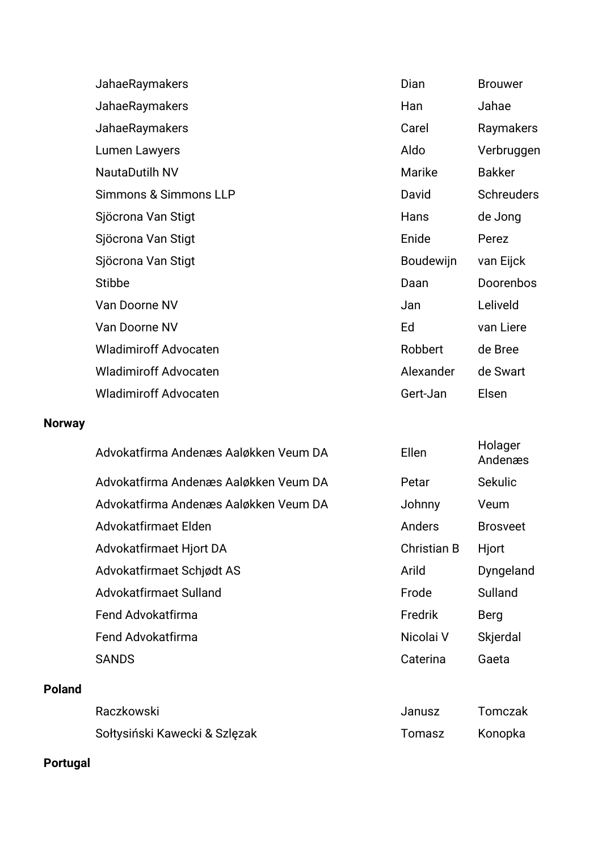| JahaeRaymakers               | Dian             | <b>Brouwer</b>    |
|------------------------------|------------------|-------------------|
| JahaeRaymakers               | Han              | Jahae             |
| JahaeRaymakers               | Carel            | Raymakers         |
| Lumen Lawyers                | Aldo             | Verbruggen        |
| <b>NautaDutilh NV</b>        | Marike           | <b>Bakker</b>     |
| Simmons & Simmons LLP        | David            | <b>Schreuders</b> |
| Sjöcrona Van Stigt           | Hans             | de Jong           |
| Sjöcrona Van Stigt           | Enide            | Perez             |
| Sjöcrona Van Stigt           | <b>Boudewijn</b> | van Eijck         |
| <b>Stibbe</b>                | Daan             | <b>Doorenbos</b>  |
| Van Doorne NV                | Jan              | Leliveld          |
| Van Doorne NV                | Ed               | van Liere         |
| <b>Wladimiroff Advocaten</b> | Robbert          | de Bree           |
| <b>Wladimiroff Advocaten</b> | Alexander        | de Swart          |
| <b>Wladimiroff Advocaten</b> | Gert-Jan         | Elsen             |

#### **Norway**

|               | Advokatfirma Andenæs Aaløkken Veum DA | Ellen              | Holager<br>Andenæs |
|---------------|---------------------------------------|--------------------|--------------------|
|               | Advokatfirma Andenæs Aaløkken Veum DA | Petar              | <b>Sekulic</b>     |
|               | Advokatfirma Andenæs Aaløkken Veum DA | Johnny             | Veum               |
|               | Advokatfirmaet Elden                  | Anders             | <b>Brosveet</b>    |
|               | Advokatfirmaet Hjort DA               | <b>Christian B</b> | Hjort              |
|               | Advokatfirmaet Schiødt AS             | Arild              | Dyngeland          |
|               | Advokatfirmaet Sulland                | Frode              | Sulland            |
|               | Fend Advokatfirma                     | Fredrik            | Berg               |
|               | Fend Advokatfirma                     | Nicolai V          | Skjerdal           |
|               | <b>SANDS</b>                          | Caterina           | Gaeta              |
| <b>Poland</b> |                                       |                    |                    |
|               | Raczkowski                            | Janusz             | Tomczak            |
|               | Sołtysiński Kawecki & Szlęzak         | Tomasz             | Konopka            |

## **Portugal**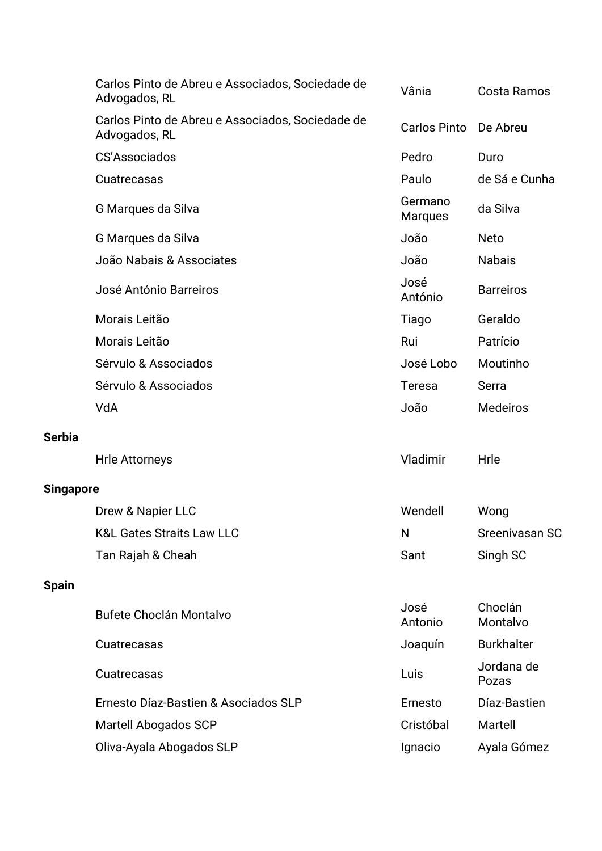|                  | Carlos Pinto de Abreu e Associados, Sociedade de<br>Advogados, RL | Vânia                     | <b>Costa Ramos</b>  |
|------------------|-------------------------------------------------------------------|---------------------------|---------------------|
|                  | Carlos Pinto de Abreu e Associados, Sociedade de<br>Advogados, RL | <b>Carlos Pinto</b>       | De Abreu            |
|                  | <b>CS'Associados</b>                                              | Pedro                     | Duro                |
|                  | Cuatrecasas                                                       | Paulo                     | de Sá e Cunha       |
|                  | G Marques da Silva                                                | Germano<br><b>Marques</b> | da Silva            |
|                  | G Marques da Silva                                                | João                      | <b>Neto</b>         |
|                  | João Nabais & Associates                                          | João                      | <b>Nabais</b>       |
|                  | José António Barreiros                                            | José<br>António           | <b>Barreiros</b>    |
|                  | Morais Leitão                                                     | Tiago                     | Geraldo             |
|                  | Morais Leitão                                                     | Rui                       | Patrício            |
|                  | Sérvulo & Associados                                              | José Lobo                 | Moutinho            |
|                  | Sérvulo & Associados                                              | <b>Teresa</b>             | Serra               |
|                  | VdA                                                               | João                      | <b>Medeiros</b>     |
| <b>Serbia</b>    |                                                                   |                           |                     |
|                  | <b>Hrle Attorneys</b>                                             | Vladimir                  | Hrle                |
| <b>Singapore</b> |                                                                   |                           |                     |
|                  | Drew & Napier LLC                                                 | Wendell                   | Wong                |
|                  | <b>K&amp;L Gates Straits Law LLC</b>                              | N                         | Sreenivasan SC      |
|                  | Tan Rajah & Cheah                                                 | Sant                      | Singh SC            |
| <b>Spain</b>     |                                                                   |                           |                     |
|                  | <b>Bufete Choclán Montalvo</b>                                    | José<br>Antonio           | Choclán<br>Montalvo |
|                  | Cuatrecasas                                                       | Joaquín                   | <b>Burkhalter</b>   |
|                  | Cuatrecasas                                                       | Luis                      | Jordana de<br>Pozas |
|                  | Ernesto Díaz-Bastien & Asociados SLP                              | Ernesto                   | Díaz-Bastien        |
|                  | Martell Abogados SCP                                              | Cristóbal                 | Martell             |
|                  | Oliva-Ayala Abogados SLP                                          | Ignacio                   | Ayala Gómez         |
|                  |                                                                   |                           |                     |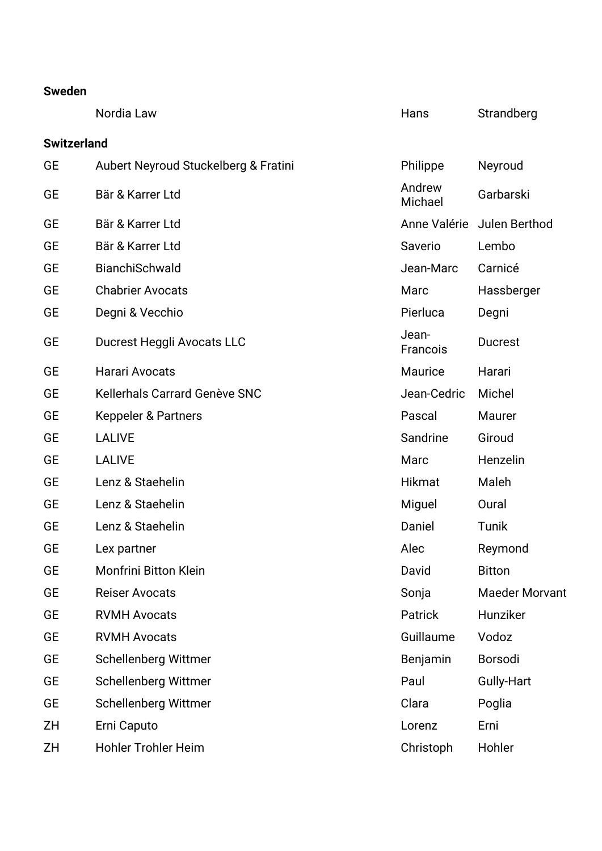|                    | Nordia Law                           | Hans              | Strandberg            |
|--------------------|--------------------------------------|-------------------|-----------------------|
| <b>Switzerland</b> |                                      |                   |                       |
| GE                 | Aubert Neyroud Stuckelberg & Fratini | Philippe          | Neyroud               |
| <b>GE</b>          | Bär & Karrer Ltd                     | Andrew<br>Michael | Garbarski             |
| <b>GE</b>          | Bär & Karrer Ltd                     | Anne Valérie      | Julen Berthod         |
| <b>GE</b>          | Bär & Karrer Ltd                     | Saverio           | Lembo                 |
| <b>GE</b>          | BianchiSchwald                       | Jean-Marc         | Carnicé               |
| <b>GE</b>          | <b>Chabrier Avocats</b>              | Marc              | Hassberger            |
| <b>GE</b>          | Degni & Vecchio                      | Pierluca          | Degni                 |
| <b>GE</b>          | Ducrest Heggli Avocats LLC           | Jean-<br>Francois | <b>Ducrest</b>        |
| <b>GE</b>          | Harari Avocats                       | Maurice           | Harari                |
| GE                 | <b>Kellerhals Carrard Genève SNC</b> | Jean-Cedric       | Michel                |
| GE                 | <b>Keppeler &amp; Partners</b>       | Pascal            | Maurer                |
| <b>GE</b>          | <b>LALIVE</b>                        | Sandrine          | Giroud                |
| <b>GE</b>          | <b>LALIVE</b>                        | Marc              | Henzelin              |
| <b>GE</b>          | Lenz & Staehelin                     | <b>Hikmat</b>     | Maleh                 |
| GE                 | Lenz & Staehelin                     | Miguel            | Oural                 |
| GE                 | Lenz & Staehelin                     | Daniel            | Tunik                 |
| GE                 | Lex partner                          | Alec              | Reymond               |
| GE                 | <b>Monfrini Bitton Klein</b>         | David             | <b>Bitton</b>         |
| GE                 | <b>Reiser Avocats</b>                | Sonja             | <b>Maeder Morvant</b> |
| <b>GE</b>          | <b>RVMH Avocats</b>                  | Patrick           | Hunziker              |
| GE                 | <b>RVMH Avocats</b>                  | Guillaume         | Vodoz                 |
| <b>GE</b>          | <b>Schellenberg Wittmer</b>          | Benjamin          | <b>Borsodi</b>        |
| <b>GE</b>          | Schellenberg Wittmer                 | Paul              | Gully-Hart            |
| GE                 | Schellenberg Wittmer                 | Clara             | Poglia                |
| ZΗ                 | Erni Caputo                          | Lorenz            | Erni                  |
| ZΗ                 | <b>Hohler Trohler Heim</b>           | Christoph         | Hohler                |
|                    |                                      |                   |                       |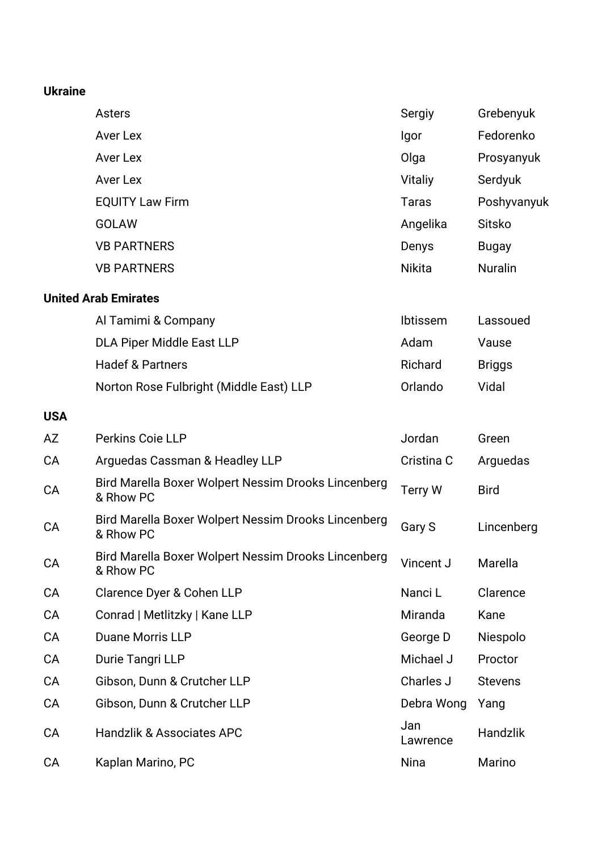#### **Ukraine**

|            | <b>Asters</b>                                                    | Sergiy        | Grebenyuk      |
|------------|------------------------------------------------------------------|---------------|----------------|
|            | Aver Lex                                                         | Igor          | Fedorenko      |
|            | <b>Aver Lex</b>                                                  | Olga          | Prosyanyuk     |
|            | Aver Lex                                                         | Vitaliy       | Serdyuk        |
|            | <b>EQUITY Law Firm</b>                                           | <b>Taras</b>  | Poshyvanyuk    |
|            | <b>GOLAW</b>                                                     | Angelika      | <b>Sitsko</b>  |
|            | <b>VB PARTNERS</b>                                               | Denys         | <b>Bugay</b>   |
|            | <b>VB PARTNERS</b>                                               | <b>Nikita</b> | <b>Nuralin</b> |
|            | <b>United Arab Emirates</b>                                      |               |                |
|            | Al Tamimi & Company                                              | Ibtissem      | Lassoued       |
|            | <b>DLA Piper Middle East LLP</b>                                 | Adam          | Vause          |
|            | <b>Hadef &amp; Partners</b>                                      | Richard       | <b>Briggs</b>  |
|            | Norton Rose Fulbright (Middle East) LLP                          | Orlando       | Vidal          |
| <b>USA</b> |                                                                  |               |                |
| <b>AZ</b>  | Perkins Coie LLP                                                 | Jordan        | Green          |
| CA         | Arguedas Cassman & Headley LLP                                   | Cristina C    | Arguedas       |
| <b>CA</b>  | Bird Marella Boxer Wolpert Nessim Drooks Lincenberg<br>& Rhow PC | Terry W       | <b>Bird</b>    |
| CA         | Bird Marella Boxer Wolpert Nessim Drooks Lincenberg<br>& Rhow PC | Gary S        | Lincenberg     |
| CA         | Bird Marella Boxer Wolpert Nessim Drooks Lincenberg<br>& Rhow PC | Vincent J     | Marella        |
| CA         | Clarence Dyer & Cohen LLP                                        | Nanci L       | Clarence       |
|            |                                                                  |               |                |

| СA | Conrad   Metlitzky   Kane LLP        | Miranda         | Kane           |
|----|--------------------------------------|-----------------|----------------|
| CA | <b>Duane Morris LLP</b>              | George D        | Niespolo       |
| CA | Durie Tangri LLP                     | Michael J       | Proctor        |
| CA | Gibson, Dunn & Crutcher LLP          | Charles J       | <b>Stevens</b> |
| CA | Gibson, Dunn & Crutcher LLP          | Debra Wong      | Yang           |
| CA | <b>Handzlik &amp; Associates APC</b> | Jan<br>Lawrence | Handzlik       |
| СA | Kaplan Marino, PC                    | <b>Nina</b>     | Marino         |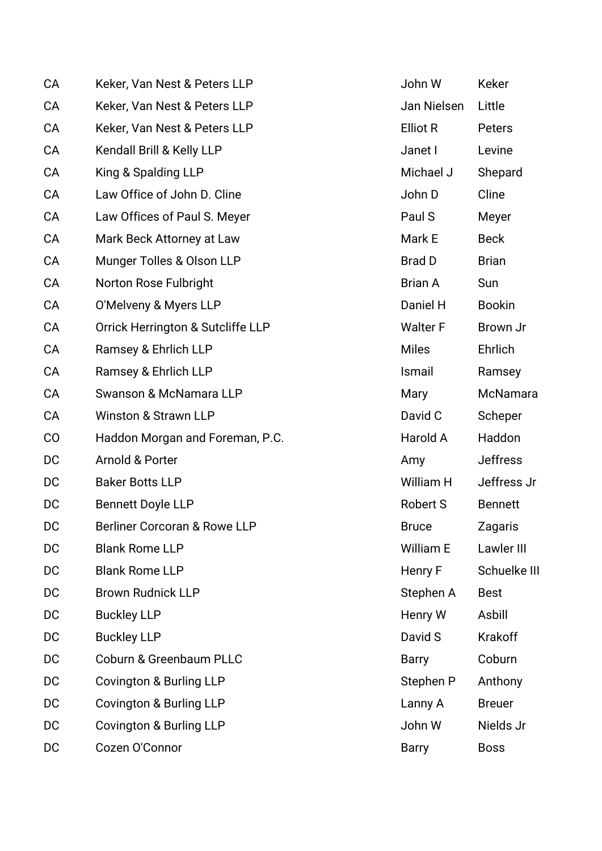| <b>CA</b> | Keker, Van Nest & Peters LLP            | John W          | Keker           |
|-----------|-----------------------------------------|-----------------|-----------------|
| CA        | Keker, Van Nest & Peters LLP            | Jan Nielsen     | Little          |
| CA        | Keker, Van Nest & Peters LLP            | <b>Elliot R</b> | Peters          |
| CA        | Kendall Brill & Kelly LLP               | Janet I         | Levine          |
| CA        | King & Spalding LLP                     | Michael J       | Shepard         |
| CA        | Law Office of John D. Cline             | John D          | Cline           |
| CA        | Law Offices of Paul S. Meyer            | Paul S          | Meyer           |
| CA        | Mark Beck Attorney at Law               | Mark E          | <b>Beck</b>     |
| CA        | Munger Tolles & Olson LLP               | <b>Brad D</b>   | <b>Brian</b>    |
| CA        | Norton Rose Fulbright                   | <b>Brian A</b>  | Sun             |
| CA        | O'Melveny & Myers LLP                   | Daniel H        | <b>Bookin</b>   |
| CA        | Orrick Herrington & Sutcliffe LLP       | <b>Walter F</b> | Brown Jr        |
| CA        | Ramsey & Ehrlich LLP                    | <b>Miles</b>    | Ehrlich         |
| CA        | Ramsey & Ehrlich LLP                    | Ismail          | Ramsey          |
| CA        | Swanson & McNamara LLP                  | Mary            | McNamara        |
| CA        | <b>Winston &amp; Strawn LLP</b>         | David C         | Scheper         |
| CO        | Haddon Morgan and Foreman, P.C.         | Harold A        | Haddon          |
| DC        | Arnold & Porter                         | Amy             | <b>Jeffress</b> |
| DC        | <b>Baker Botts LLP</b>                  | William H       | Jeffress Jr     |
| DC        | <b>Bennett Doyle LLP</b>                | Robert S        | <b>Bennett</b>  |
| DC        | <b>Berliner Corcoran &amp; Rowe LLP</b> | <b>Bruce</b>    | Zagaris         |
| DC        | <b>Blank Rome LLP</b>                   | William E       | Lawler III      |
| DC        | <b>Blank Rome LLP</b>                   | Henry F         | Schuelke III    |
| DC        | <b>Brown Rudnick LLP</b>                | Stephen A       | <b>Best</b>     |
| DC        | <b>Buckley LLP</b>                      | Henry W         | Asbill          |
| DC        | <b>Buckley LLP</b>                      | David S         | <b>Krakoff</b>  |
| DC        | <b>Coburn &amp; Greenbaum PLLC</b>      | <b>Barry</b>    | Coburn          |
| DC        | Covington & Burling LLP                 | Stephen P       | Anthony         |
| DC        | <b>Covington &amp; Burling LLP</b>      | Lanny A         | <b>Breuer</b>   |
| DC        | Covington & Burling LLP                 | John W          | Nields Jr       |
| DC        | Cozen O'Connor                          | <b>Barry</b>    | <b>Boss</b>     |
|           |                                         |                 |                 |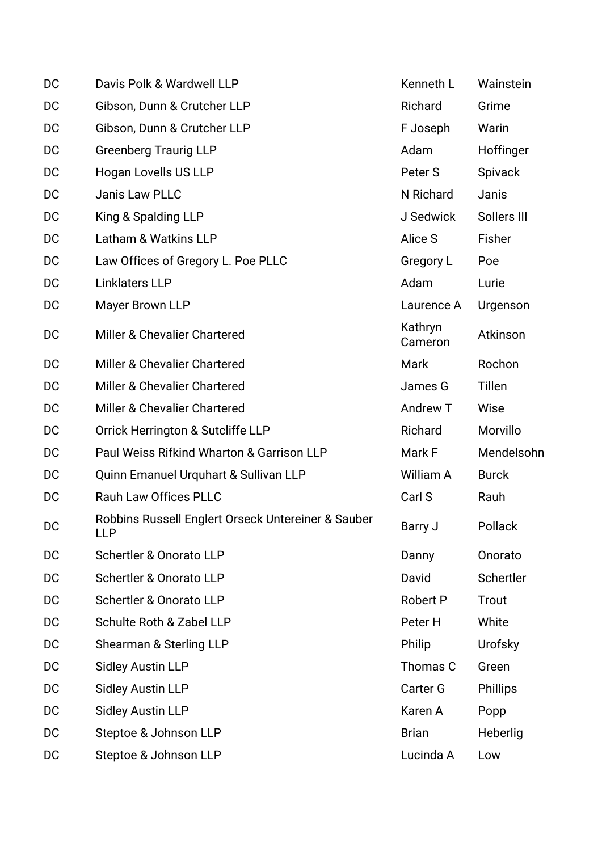| DC | Davis Polk & Wardwell LLP                                        | Kenneth L          | Wainstein       |
|----|------------------------------------------------------------------|--------------------|-----------------|
| DC | Gibson, Dunn & Crutcher LLP                                      | Richard            | Grime           |
| DC | Gibson, Dunn & Crutcher LLP                                      | F Joseph           | Warin           |
| DC | <b>Greenberg Traurig LLP</b>                                     | Adam               | Hoffinger       |
| DC | Hogan Lovells US LLP                                             | Peter S            | Spivack         |
| DC | <b>Janis Law PLLC</b>                                            | N Richard          | Janis           |
| DC | King & Spalding LLP                                              | J Sedwick          | Sollers III     |
| DC | Latham & Watkins LLP                                             | Alice S            | Fisher          |
| DC | Law Offices of Gregory L. Poe PLLC                               | Gregory L          | Poe             |
| DC | Linklaters LLP                                                   | Adam               | Lurie           |
| DC | Mayer Brown LLP                                                  | Laurence A         | Urgenson        |
| DC | Miller & Chevalier Chartered                                     | Kathryn<br>Cameron | Atkinson        |
| DC | Miller & Chevalier Chartered                                     | Mark               | Rochon          |
| DC | Miller & Chevalier Chartered                                     | James G            | Tillen          |
| DC | Miller & Chevalier Chartered                                     | Andrew T           | Wise            |
| DC | Orrick Herrington & Sutcliffe LLP                                | Richard            | Morvillo        |
| DC | Paul Weiss Rifkind Wharton & Garrison LLP                        | Mark F             | Mendelsohn      |
| DC | Quinn Emanuel Urquhart & Sullivan LLP                            | William A          | <b>Burck</b>    |
| DC | Rauh Law Offices PLLC                                            | Carl S             | Rauh            |
| DC | Robbins Russell Englert Orseck Untereiner & Sauber<br><b>LLP</b> | Barry J            | Pollack         |
| DC | Schertler & Onorato LLP                                          | Danny              | Onorato         |
| DC | Schertler & Onorato LLP                                          | David              | Schertler       |
| DC | Schertler & Onorato LLP                                          | <b>Robert P</b>    | Trout           |
| DC | Schulte Roth & Zabel LLP                                         | Peter H            | White           |
| DC | Shearman & Sterling LLP                                          | Philip             | Urofsky         |
| DC | <b>Sidley Austin LLP</b>                                         | Thomas C           | Green           |
| DC | <b>Sidley Austin LLP</b>                                         | <b>Carter G</b>    | <b>Phillips</b> |
| DC | <b>Sidley Austin LLP</b>                                         | Karen A            | Popp            |
| DC | Steptoe & Johnson LLP                                            | <b>Brian</b>       | Heberlig        |
| DC | Steptoe & Johnson LLP                                            | Lucinda A          | Low             |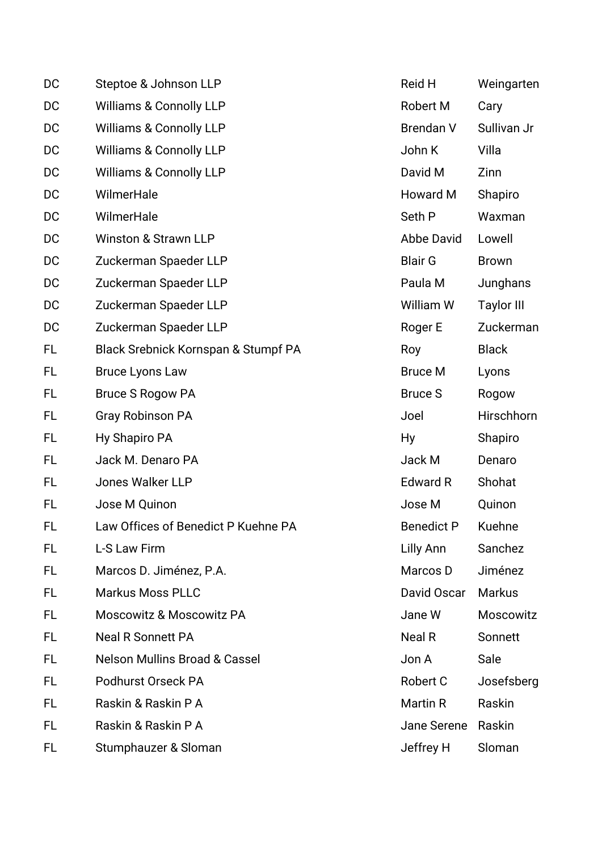| DC | Steptoe & Johnson LLP                    | Reid H            | Weingarten        |
|----|------------------------------------------|-------------------|-------------------|
| DC | <b>Williams &amp; Connolly LLP</b>       | Robert M          | Cary              |
| DC | <b>Williams &amp; Connolly LLP</b>       | <b>Brendan V</b>  | Sullivan Jr       |
| DC | <b>Williams &amp; Connolly LLP</b>       | John K            | Villa             |
| DC | <b>Williams &amp; Connolly LLP</b>       | David M           | Zinn              |
| DC | WilmerHale                               | Howard M          | Shapiro           |
| DC | WilmerHale                               | Seth P            | Waxman            |
| DC | <b>Winston &amp; Strawn LLP</b>          | Abbe David        | Lowell            |
| DC | Zuckerman Spaeder LLP                    | <b>Blair G</b>    | <b>Brown</b>      |
| DC | Zuckerman Spaeder LLP                    | Paula M           | Junghans          |
| DC | Zuckerman Spaeder LLP                    | William W         | <b>Taylor III</b> |
| DC | Zuckerman Spaeder LLP                    | Roger E           | Zuckerman         |
| FL | Black Srebnick Kornspan & Stumpf PA      | Roy               | <b>Black</b>      |
| FL | <b>Bruce Lyons Law</b>                   | <b>Bruce M</b>    | Lyons             |
| FL | <b>Bruce S Rogow PA</b>                  | <b>Bruce S</b>    | Rogow             |
| FL | <b>Gray Robinson PA</b>                  | Joel              | Hirschhorn        |
| FL | Hy Shapiro PA                            | <b>Hy</b>         | Shapiro           |
| FL | Jack M. Denaro PA                        | Jack M            | Denaro            |
| FL | <b>Jones Walker LLP</b>                  | <b>Edward R</b>   | Shohat            |
| FL | Jose M Quinon                            | Jose M            | Quinon            |
| FL | Law Offices of Benedict P Kuehne PA      | <b>Benedict P</b> | Kuehne            |
| FL | L-S Law Firm                             | Lilly Ann         | Sanchez           |
| FL | Marcos D. Jiménez, P.A.                  | Marcos D          | Jiménez           |
| FL | <b>Markus Moss PLLC</b>                  | David Oscar       | <b>Markus</b>     |
| FL | <b>Moscowitz &amp; Moscowitz PA</b>      | Jane W            | Moscowitz         |
| FL | <b>Neal R Sonnett PA</b>                 | Neal R            | Sonnett           |
| FL | <b>Nelson Mullins Broad &amp; Cassel</b> | Jon A             | Sale              |
| FL | Podhurst Orseck PA                       | Robert C          | Josefsberg        |
| FL | Raskin & Raskin P A                      | Martin R          | Raskin            |
| FL | Raskin & Raskin P A                      | Jane Serene       | Raskin            |
| FL | Stumphauzer & Sloman                     | Jeffrey H         | Sloman            |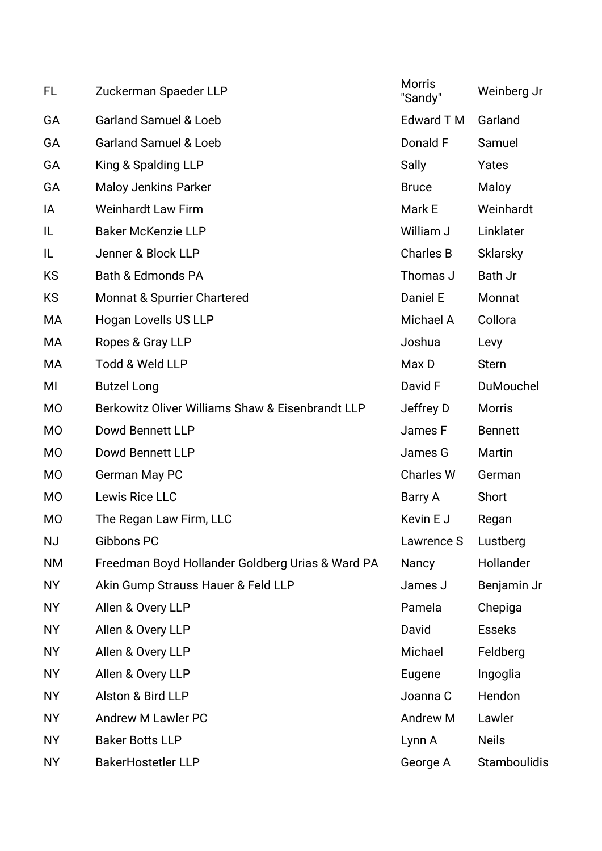| FL             | Zuckerman Spaeder LLP                            | <b>Morris</b><br>"Sandy" | Weinberg Jr         |
|----------------|--------------------------------------------------|--------------------------|---------------------|
| GA             | <b>Garland Samuel &amp; Loeb</b>                 | <b>Edward T M</b>        | Garland             |
| GA             | <b>Garland Samuel &amp; Loeb</b>                 | Donald F                 | Samuel              |
| GA             | King & Spalding LLP                              | Sally                    | Yates               |
| GA             | <b>Maloy Jenkins Parker</b>                      | <b>Bruce</b>             | Maloy               |
| IA             | <b>Weinhardt Law Firm</b>                        | Mark E                   | Weinhardt           |
| IL             | <b>Baker McKenzie LLP</b>                        | William J                | Linklater           |
| IL             | Jenner & Block LLP                               | <b>Charles B</b>         | <b>Sklarsky</b>     |
| <b>KS</b>      | <b>Bath &amp; Edmonds PA</b>                     | Thomas J                 | Bath Jr             |
| <b>KS</b>      | Monnat & Spurrier Chartered                      | Daniel E                 | Monnat              |
| МA             | Hogan Lovells US LLP                             | Michael A                | Collora             |
| МA             | Ropes & Gray LLP                                 | Joshua                   | Levy                |
| МA             | Todd & Weld LLP                                  | Max D                    | <b>Stern</b>        |
| MI             | <b>Butzel Long</b>                               | David F                  | DuMouchel           |
| <b>MO</b>      | Berkowitz Oliver Williams Shaw & Eisenbrandt LLP | Jeffrey D                | <b>Morris</b>       |
| <b>MO</b>      | Dowd Bennett LLP                                 | James F                  | <b>Bennett</b>      |
| <b>MO</b>      | Dowd Bennett LLP                                 | James G                  | Martin              |
| <b>MO</b>      | German May PC                                    | <b>Charles W</b>         | German              |
| <b>MO</b>      | Lewis Rice LLC                                   | Barry A                  | Short               |
| M <sub>O</sub> | The Regan Law Firm, LLC                          | Kevin E J                | Regan               |
| <b>NJ</b>      | Gibbons PC                                       | Lawrence S               | Lustberg            |
| <b>NM</b>      | Freedman Boyd Hollander Goldberg Urias & Ward PA | Nancy                    | Hollander           |
| <b>NY</b>      | Akin Gump Strauss Hauer & Feld LLP               | James J                  | Benjamin Jr         |
| <b>NY</b>      | Allen & Overy LLP                                | Pamela                   | Chepiga             |
| <b>NY</b>      | Allen & Overy LLP                                | David                    | <b>Esseks</b>       |
| <b>NY</b>      | Allen & Overy LLP                                | Michael                  | Feldberg            |
| <b>NY</b>      | Allen & Overy LLP                                | Eugene                   | Ingoglia            |
| <b>NY</b>      | Alston & Bird LLP                                | Joanna C                 | Hendon              |
| <b>NY</b>      | <b>Andrew M Lawler PC</b>                        | Andrew M                 | Lawler              |
| <b>NY</b>      | <b>Baker Botts LLP</b>                           | Lynn A                   | <b>Neils</b>        |
| <b>NY</b>      | <b>BakerHostetler LLP</b>                        | George A                 | <b>Stamboulidis</b> |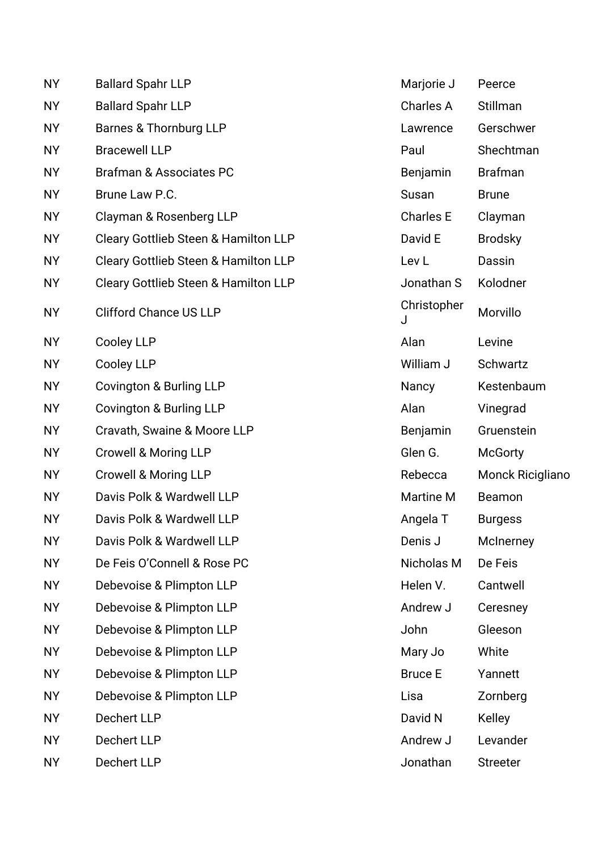| <b>NY</b> | <b>Ballard Spahr LLP</b>                        | Marjorie J       | Peerce                  |
|-----------|-------------------------------------------------|------------------|-------------------------|
| <b>NY</b> | <b>Ballard Spahr LLP</b>                        | Charles A        | Stillman                |
| <b>NY</b> | Barnes & Thornburg LLP                          | Lawrence         | Gerschwer               |
| <b>NY</b> | <b>Bracewell LLP</b>                            | Paul             | Shechtman               |
| <b>NY</b> | <b>Brafman &amp; Associates PC</b>              | Benjamin         | <b>Brafman</b>          |
| <b>NY</b> | Brune Law P.C.                                  | Susan            | <b>Brune</b>            |
| <b>NY</b> | Clayman & Rosenberg LLP                         | <b>Charles E</b> | Clayman                 |
| <b>NY</b> | Cleary Gottlieb Steen & Hamilton LLP            | David E          | <b>Brodsky</b>          |
| <b>NY</b> | <b>Cleary Gottlieb Steen &amp; Hamilton LLP</b> | Lev <sub>L</sub> | Dassin                  |
| <b>NY</b> | <b>Cleary Gottlieb Steen &amp; Hamilton LLP</b> | Jonathan S       | Kolodner                |
| <b>NY</b> | <b>Clifford Chance US LLP</b>                   | Christopher<br>J | Morvillo                |
| <b>NY</b> | <b>Cooley LLP</b>                               | Alan             | Levine                  |
| <b>NY</b> | <b>Cooley LLP</b>                               | William J        | Schwartz                |
| <b>NY</b> | Covington & Burling LLP                         | Nancy            | Kestenbaum              |
| <b>NY</b> | <b>Covington &amp; Burling LLP</b>              | Alan             | Vinegrad                |
| <b>NY</b> | Cravath, Swaine & Moore LLP                     | Benjamin         | Gruenstein              |
| <b>NY</b> | <b>Crowell &amp; Moring LLP</b>                 | Glen G.          | <b>McGorty</b>          |
| <b>NY</b> | <b>Crowell &amp; Moring LLP</b>                 | Rebecca          | <b>Monck Ricigliano</b> |
| <b>NY</b> | Davis Polk & Wardwell LLP                       | <b>Martine M</b> | Beamon                  |
| <b>NY</b> | Davis Polk & Wardwell LLP                       | Angela T         | <b>Burgess</b>          |
| <b>NY</b> | Davis Polk & Wardwell LLP                       | Denis J          | McInerney               |
| <b>NY</b> | De Feis O'Connell & Rose PC                     | Nicholas M       | De Feis                 |
| <b>NY</b> | Debevoise & Plimpton LLP                        | Helen V.         | Cantwell                |
| <b>NY</b> | Debevoise & Plimpton LLP                        | Andrew J         | Ceresney                |
| <b>NY</b> | Debevoise & Plimpton LLP                        | John             | Gleeson                 |
| <b>NY</b> | Debevoise & Plimpton LLP                        | Mary Jo          | White                   |
| <b>NY</b> | Debevoise & Plimpton LLP                        | <b>Bruce E</b>   | Yannett                 |
| <b>NY</b> | Debevoise & Plimpton LLP                        | Lisa             | Zornberg                |
| <b>NY</b> | <b>Dechert LLP</b>                              | David N          | <b>Kelley</b>           |
| <b>NY</b> | <b>Dechert LLP</b>                              | Andrew J         | Levander                |
| <b>NY</b> | Dechert LLP                                     | Jonathan         | <b>Streeter</b>         |

| Marjorie J       | Peerce                  |
|------------------|-------------------------|
| Charles A        | Stillman                |
| Lawrence         | Gerschwer               |
| Paul             | Shechtman               |
| Benjamin         | <b>Brafman</b>          |
| <b>Susan</b>     | <b>Brune</b>            |
| <b>Charles E</b> | Clayman                 |
| David E          | <b>Brodsky</b>          |
| Lev L            | Dassin                  |
| Jonathan S       | Kolodner                |
| Christopher<br>J | Morvillo                |
| Alan             | Levine                  |
| William J        | Schwartz                |
| Nancy            | Kestenbaum              |
| Alan             | Vinegrad                |
| Benjamin         | Gruenstein              |
| Glen G.          | <b>McGorty</b>          |
| Rebecca          | <b>Monck Ricigliano</b> |
| <b>Martine M</b> | Beamon                  |
| Angela T         | Burgess                 |
| Denis J          | McInerney               |
| Nicholas M       | De Feis                 |
| Helen V.         | Cantwell                |
| Andrew J         | Ceresney                |
| John             | Gleeson                 |
| Mary Jo          | White                   |
| <b>Bruce E</b>   | Yannett                 |
| Lisa             | Zornberg                |
| David N          | Kelley                  |
| Andrew J         | Levander                |
| Jonathan         | <b>Streeter</b>         |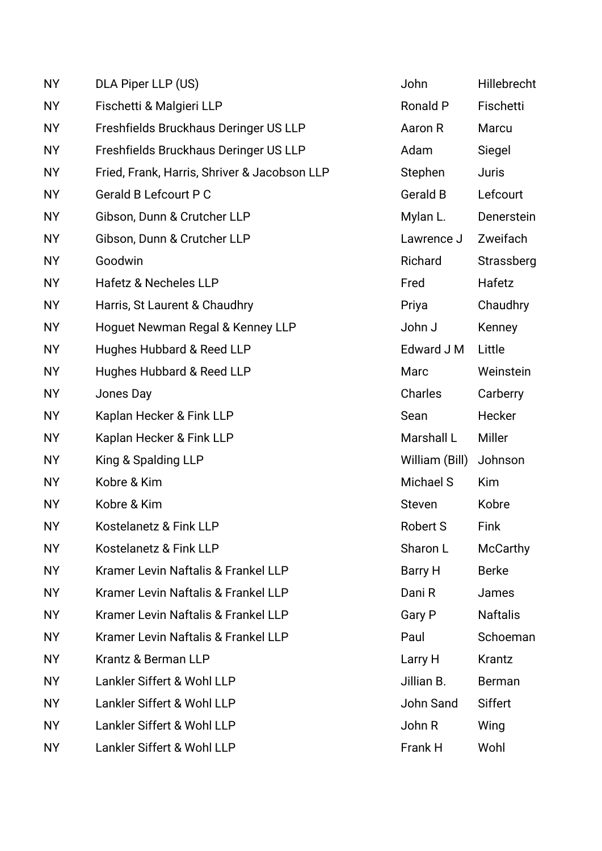| <b>NY</b> | DLA Piper LLP (US)                           | John            | Hillebrecht     |
|-----------|----------------------------------------------|-----------------|-----------------|
| <b>NY</b> | Fischetti & Malgieri LLP                     | <b>Ronald P</b> | Fischetti       |
| <b>NY</b> | Freshfields Bruckhaus Deringer US LLP        | Aaron R         | Marcu           |
| <b>NY</b> | Freshfields Bruckhaus Deringer US LLP        | Adam            | Siegel          |
| <b>NY</b> | Fried, Frank, Harris, Shriver & Jacobson LLP | Stephen         | <b>Juris</b>    |
| <b>NY</b> | <b>Gerald B Lefcourt P C</b>                 | <b>Gerald B</b> | Lefcourt        |
| <b>NY</b> | Gibson, Dunn & Crutcher LLP                  | Mylan L.        | Denerstein      |
| <b>NY</b> | Gibson, Dunn & Crutcher LLP                  | Lawrence J      | Zweifach        |
| <b>NY</b> | Goodwin                                      | Richard         | Strassberg      |
| <b>NY</b> | Hafetz & Necheles LLP                        | Fred            | Hafetz          |
| <b>NY</b> | Harris, St Laurent & Chaudhry                | Priya           | Chaudhry        |
| <b>NY</b> | Hoguet Newman Regal & Kenney LLP             | John J          | Kenney          |
| <b>NY</b> | Hughes Hubbard & Reed LLP                    | Edward J M      | Little          |
| <b>NY</b> | Hughes Hubbard & Reed LLP                    | Marc            | Weinstein       |
| <b>NY</b> | Jones Day                                    | Charles         | Carberry        |
| <b>NY</b> | Kaplan Hecker & Fink LLP                     | Sean            | Hecker          |
| <b>NY</b> | Kaplan Hecker & Fink LLP                     | Marshall L      | <b>Miller</b>   |
| <b>NY</b> | King & Spalding LLP                          | William (Bill)  | Johnson         |
| <b>NY</b> | Kobre & Kim                                  | Michael S       | <b>Kim</b>      |
| <b>NY</b> | Kobre & Kim                                  | Steven          | Kobre           |
| <b>NY</b> | Kostelanetz & Fink LLP                       | Robert S        | Fink            |
| <b>NY</b> | Kostelanetz & Fink LLP                       | Sharon L        | McCarthy        |
| <b>NY</b> | Kramer Levin Naftalis & Frankel LLP          | Barry H         | <b>Berke</b>    |
| <b>NY</b> | Kramer Levin Naftalis & Frankel LLP          | Dani R          | James           |
| <b>NY</b> | Kramer Levin Naftalis & Frankel LLP          | Gary P          | <b>Naftalis</b> |
| <b>NY</b> | Kramer Levin Naftalis & Frankel LLP          | Paul            | Schoeman        |
| <b>NY</b> | Krantz & Berman LLP                          | Larry H         | Krantz          |
| <b>NY</b> | Lankler Siffert & Wohl LLP                   | Jillian B.      | <b>Berman</b>   |
| <b>NY</b> | Lankler Siffert & Wohl LLP                   | John Sand       | <b>Siffert</b>  |
| <b>NY</b> | Lankler Siffert & Wohl LLP                   | John R          | Wing            |
| <b>NY</b> | Lankler Siffert & Wohl LLP                   | Frank H         | Wohl            |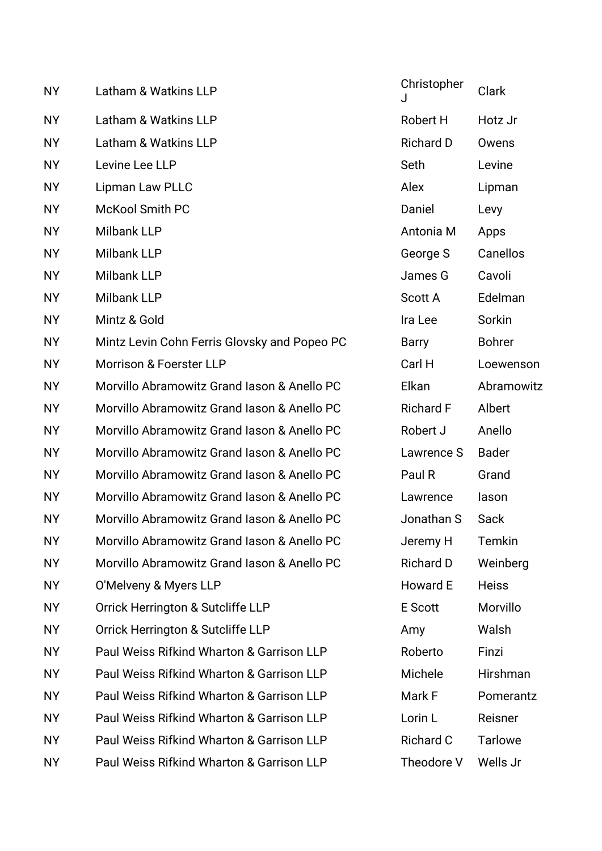| <b>NY</b> | Latham & Watkins LLP                         | Christopher      | <b>Clark</b>   |
|-----------|----------------------------------------------|------------------|----------------|
| <b>NY</b> | Latham & Watkins LLP                         | Robert H         | Hotz Jr        |
| <b>NY</b> | Latham & Watkins LLP                         | <b>Richard D</b> | Owens          |
| <b>NY</b> | Levine Lee LLP                               | Seth             | Levine         |
| <b>NY</b> | Lipman Law PLLC                              | Alex             | Lipman         |
| <b>NY</b> | McKool Smith PC                              | Daniel           | Levy           |
| <b>NY</b> | <b>Milbank LLP</b>                           | Antonia M        | Apps           |
| <b>NY</b> | <b>Milbank LLP</b>                           | George S         | Canellos       |
| <b>NY</b> | <b>Milbank LLP</b>                           | James G          | Cavoli         |
| <b>NY</b> | <b>Milbank LLP</b>                           | <b>Scott A</b>   | Edelman        |
| <b>NY</b> | Mintz & Gold                                 | Ira Lee          | Sorkin         |
| <b>NY</b> | Mintz Levin Cohn Ferris Glovsky and Popeo PC | <b>Barry</b>     | <b>Bohrer</b>  |
| <b>NY</b> | <b>Morrison &amp; Foerster LLP</b>           | Carl H           | Loewenson      |
| <b>NY</b> | Morvillo Abramowitz Grand Iason & Anello PC  | Elkan            | Abramowitz     |
| <b>NY</b> | Morvillo Abramowitz Grand Iason & Anello PC  | <b>Richard F</b> | Albert         |
| <b>NY</b> | Morvillo Abramowitz Grand Iason & Anello PC  | Robert J         | Anello         |
| <b>NY</b> | Morvillo Abramowitz Grand Iason & Anello PC  | Lawrence S       | <b>Bader</b>   |
| <b>NY</b> | Morvillo Abramowitz Grand Iason & Anello PC  | Paul R           | Grand          |
| <b>NY</b> | Morvillo Abramowitz Grand Iason & Anello PC  | Lawrence         | lason          |
| <b>NY</b> | Morvillo Abramowitz Grand Iason & Anello PC  | Jonathan S       | Sack           |
| <b>NY</b> | Morvillo Abramowitz Grand Iason & Anello PC  | Jeremy H         | Temkin         |
| <b>NY</b> | Morvillo Abramowitz Grand Iason & Anello PC  | <b>Richard D</b> | Weinberg       |
| <b>NY</b> | O'Melveny & Myers LLP                        | Howard E         | <b>Heiss</b>   |
| NY.       | Orrick Herrington & Sutcliffe LLP            | E Scott          | Morvillo       |
| <b>NY</b> | Orrick Herrington & Sutcliffe LLP            | Amy              | Walsh          |
| <b>NY</b> | Paul Weiss Rifkind Wharton & Garrison LLP    | Roberto          | Finzi          |
| <b>NY</b> | Paul Weiss Rifkind Wharton & Garrison LLP    | Michele          | Hirshman       |
| <b>NY</b> | Paul Weiss Rifkind Wharton & Garrison LLP    | Mark F           | Pomerantz      |
| <b>NY</b> | Paul Weiss Rifkind Wharton & Garrison LLP    | Lorin L          | Reisner        |
| <b>NY</b> | Paul Weiss Rifkind Wharton & Garrison LLP    | <b>Richard C</b> | <b>Tarlowe</b> |
| <b>NY</b> | Paul Weiss Rifkind Wharton & Garrison LLP    | Theodore V       | Wells Jr       |

| Christopher<br>J | Clark          |
|------------------|----------------|
| Robert H         | Hotz Jr        |
| <b>Richard D</b> | Owens          |
| Seth             | Levine         |
| Alex             | Lipman         |
| Daniel           | Levy           |
| Antonia M        | Apps           |
| George S         | Canellos       |
| James G          | Cavoli         |
| Scott A          | Edelman        |
| Ira Lee          | Sorkin         |
| Barry            | <b>Bohrer</b>  |
| Carl H           | Loewenson      |
| Elkan            | Abramowitz     |
| <b>Richard F</b> | Albert         |
| Robert J         | Anello         |
| Lawrence S       | Bader          |
| Paul R           | Grand          |
| Lawrence         | lason          |
| Jonathan S       | Sack           |
| Jeremy H         | Temkin         |
| <b>Richard D</b> | Weinberg       |
| Howard E         | <b>Heiss</b>   |
| E Scott          | Morvillo       |
| Amy              | Walsh          |
| Roberto          | Finzi          |
| Michele          | Hirshman       |
| Mark F           | Pomerantz      |
| Lorin L          | Reisner        |
| <b>Richard C</b> | <b>Tarlowe</b> |
| Theodore V       | Wells Jr       |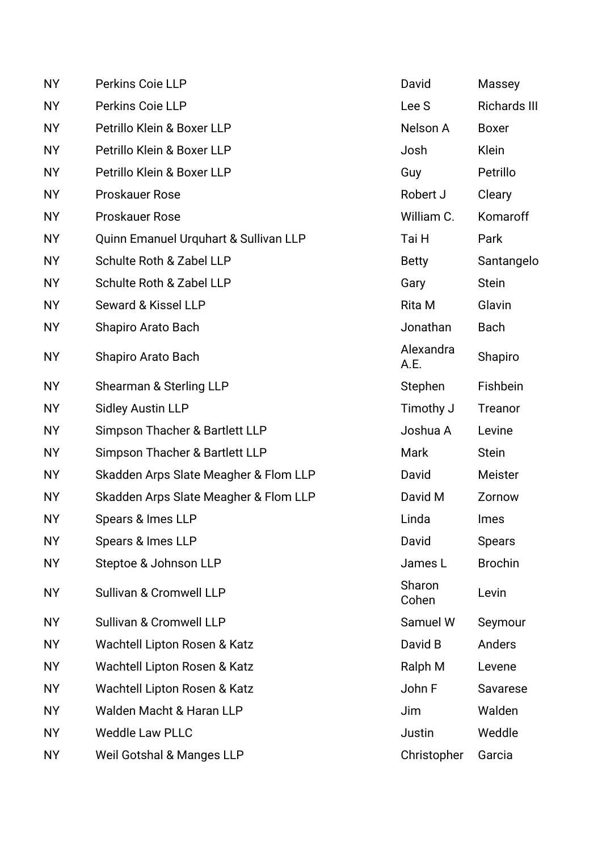| <b>NY</b> | Perkins Coie LLP                      | David             | Massey              |
|-----------|---------------------------------------|-------------------|---------------------|
| <b>NY</b> | Perkins Coie LLP                      | Lee S             | <b>Richards III</b> |
| <b>NY</b> | Petrillo Klein & Boxer LLP            | Nelson A          | <b>Boxer</b>        |
| <b>NY</b> | Petrillo Klein & Boxer LLP            | Josh              | Klein               |
| <b>NY</b> | Petrillo Klein & Boxer LLP            | Guy               | Petrillo            |
| <b>NY</b> | <b>Proskauer Rose</b>                 | Robert J          | Cleary              |
| <b>NY</b> | <b>Proskauer Rose</b>                 | William C.        | Komaroff            |
| <b>NY</b> | Quinn Emanuel Urquhart & Sullivan LLP | Tai H             | Park                |
| <b>NY</b> | Schulte Roth & Zabel LLP              | <b>Betty</b>      | Santangelo          |
| <b>NY</b> | Schulte Roth & Zabel LLP              | Gary              | <b>Stein</b>        |
| <b>NY</b> | Seward & Kissel LLP                   | Rita M            | Glavin              |
| <b>NY</b> | <b>Shapiro Arato Bach</b>             | Jonathan          | <b>Bach</b>         |
| <b>NY</b> | Shapiro Arato Bach                    | Alexandra<br>A.E. | Shapiro             |
| <b>NY</b> | Shearman & Sterling LLP               | Stephen           | Fishbein            |
| <b>NY</b> | <b>Sidley Austin LLP</b>              | Timothy J         | Treanor             |
| <b>NY</b> | Simpson Thacher & Bartlett LLP        | Joshua A          | Levine              |
| <b>NY</b> | Simpson Thacher & Bartlett LLP        | Mark              | <b>Stein</b>        |
| <b>NY</b> | Skadden Arps Slate Meagher & Flom LLP | David             | Meister             |
| <b>NY</b> | Skadden Arps Slate Meagher & Flom LLP | David M           | Zornow              |
| <b>NY</b> | Spears & Imes LLP                     | Linda             | <b>Imes</b>         |
| <b>NY</b> | Spears & Imes LLP                     | David             | <b>Spears</b>       |
| <b>NY</b> | Steptoe & Johnson LLP                 | James L           | <b>Brochin</b>      |
| <b>NY</b> | Sullivan & Cromwell LLP               | Sharon<br>Cohen   | Levin               |
| <b>NY</b> | Sullivan & Cromwell LLP               | Samuel W          | Seymour             |
| <b>NY</b> | Wachtell Lipton Rosen & Katz          | David B           | Anders              |
| <b>NY</b> | Wachtell Lipton Rosen & Katz          | Ralph M           | Levene              |
| <b>NY</b> | Wachtell Lipton Rosen & Katz          | John F            | Savarese            |
| <b>NY</b> | Walden Macht & Haran LLP              | Jim               | Walden              |
| <b>NY</b> | <b>Weddle Law PLLC</b>                | Justin            | Weddle              |
| <b>NY</b> | <b>Weil Gotshal &amp; Manges LLP</b>  | Christopher       | Garcia              |
|           |                                       |                   |                     |